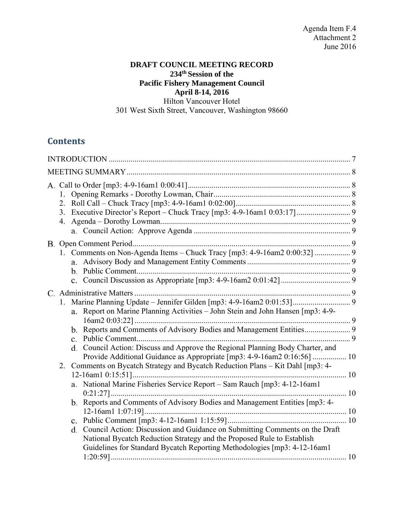# **DRAFT COUNCIL MEETING RECORD 234th Session of the Pacific Fishery Management Council April 8-14, 2016**

Hilton Vancouver Hotel 301 West Sixth Street, Vancouver, Washington 98660

# **Contents**

|    | Report on Marine Planning Activities – John Stein and John Hansen [mp3: 4-9-<br>a.<br>d. Council Action: Discuss and Approve the Regional Planning Body Charter, and                                                                                                                                                                                                                                                                                                                                                                                          |  |
|----|---------------------------------------------------------------------------------------------------------------------------------------------------------------------------------------------------------------------------------------------------------------------------------------------------------------------------------------------------------------------------------------------------------------------------------------------------------------------------------------------------------------------------------------------------------------|--|
| 2. | Provide Additional Guidance as Appropriate [mp3: 4-9-16am2 0:16:56]  10<br>Comments on Bycatch Strategy and Bycatch Reduction Plans - Kit Dahl [mp3: 4-<br>a. National Marine Fisheries Service Report - Sam Rauch [mp3: 4-12-16am1<br>b. Reports and Comments of Advisory Bodies and Management Entities [mp3: 4-<br>Council Action: Discussion and Guidance on Submitting Comments on the Draft<br>d.<br>National Bycatch Reduction Strategy and the Proposed Rule to Establish<br>Guidelines for Standard Bycatch Reporting Methodologies [mp3: 4-12-16am1 |  |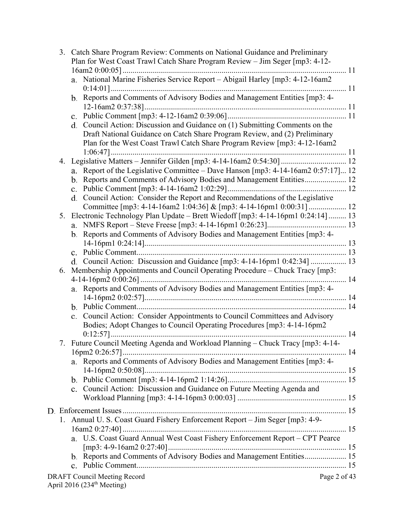|    | 3. Catch Share Program Review: Comments on National Guidance and Preliminary      |              |
|----|-----------------------------------------------------------------------------------|--------------|
|    | Plan for West Coast Trawl Catch Share Program Review - Jim Seger [mp3: 4-12-      |              |
|    | a. National Marine Fisheries Service Report - Abigail Harley [mp3: 4-12-16am2     |              |
|    |                                                                                   |              |
|    | b. Reports and Comments of Advisory Bodies and Management Entities [mp3: 4-       |              |
|    |                                                                                   |              |
|    | d. Council Action: Discussion and Guidance on (1) Submitting Comments on the      |              |
|    | Draft National Guidance on Catch Share Program Review, and (2) Preliminary        |              |
|    | Plan for the West Coast Trawl Catch Share Program Review [mp3: 4-12-16am2         |              |
|    |                                                                                   |              |
| 4. |                                                                                   |              |
|    | a. Report of the Legislative Committee - Dave Hanson [mp3: 4-14-16am2 0:57:17] 12 |              |
|    | b. Reports and Comments of Advisory Bodies and Management Entities 12             |              |
|    |                                                                                   |              |
|    | d. Council Action: Consider the Report and Recommendations of the Legislative     |              |
|    |                                                                                   |              |
| 5. | Electronic Technology Plan Update – Brett Wiedoff [mp3: 4-14-16pm1 0:24:14] 13    |              |
|    |                                                                                   |              |
|    | b. Reports and Comments of Advisory Bodies and Management Entities [mp3: 4-       |              |
|    |                                                                                   |              |
|    |                                                                                   |              |
|    | d. Council Action: Discussion and Guidance [mp3: 4-14-16pm1 0:42:34]  13          |              |
| 6. | Membership Appointments and Council Operating Procedure – Chuck Tracy [mp3:       |              |
|    |                                                                                   |              |
|    | a. Reports and Comments of Advisory Bodies and Management Entities [mp3: 4-       |              |
|    |                                                                                   |              |
|    |                                                                                   |              |
|    | c. Council Action: Consider Appointments to Council Committees and Advisory       |              |
|    | Bodies: Adopt Changes to Council Operating Procedures [mp3: 4-14-16pm2            |              |
|    |                                                                                   |              |
|    | Future Council Meeting Agenda and Workload Planning - Chuck Tracy [mp3: 4-14-     |              |
|    | a. Reports and Comments of Advisory Bodies and Management Entities [mp3: 4-       |              |
|    |                                                                                   |              |
|    |                                                                                   |              |
|    | c. Council Action: Discussion and Guidance on Future Meeting Agenda and           |              |
|    |                                                                                   |              |
|    |                                                                                   |              |
|    |                                                                                   |              |
|    | 1. Annual U. S. Coast Guard Fishery Enforcement Report - Jim Seger [mp3: 4-9-     |              |
|    |                                                                                   |              |
|    | a. U.S. Coast Guard Annual West Coast Fishery Enforcement Report - CPT Pearce     |              |
|    |                                                                                   |              |
|    | b. Reports and Comments of Advisory Bodies and Management Entities 15             |              |
|    |                                                                                   |              |
|    | <b>DRAFT Council Meeting Record</b>                                               | Page 2 of 43 |
|    | April 2016 (234 <sup>th</sup> Meeting)                                            |              |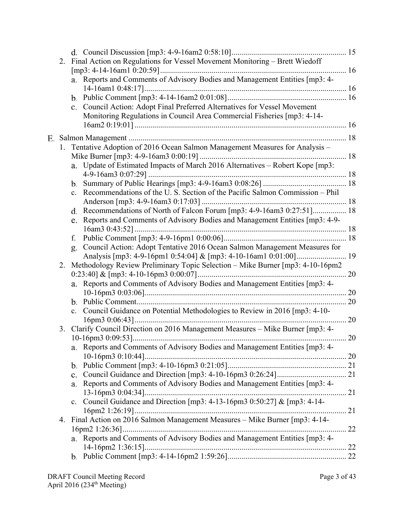| 2. | Final Action on Regulations for Vessel Movement Monitoring - Brett Wiedoff       |    |
|----|----------------------------------------------------------------------------------|----|
|    |                                                                                  |    |
|    | a. Reports and Comments of Advisory Bodies and Management Entities [mp3: 4-      |    |
|    |                                                                                  |    |
|    |                                                                                  |    |
|    | c. Council Action: Adopt Final Preferred Alternatives for Vessel Movement        |    |
|    | Monitoring Regulations in Council Area Commercial Fisheries [mp3: 4-14-          |    |
|    |                                                                                  |    |
|    |                                                                                  |    |
|    | 1. Tentative Adoption of 2016 Ocean Salmon Management Measures for Analysis -    |    |
|    |                                                                                  |    |
|    | a. Update of Estimated Impacts of March 2016 Alternatives - Robert Kope [mp3:    |    |
|    |                                                                                  |    |
|    |                                                                                  |    |
|    | c. Recommendations of the U.S. Section of the Pacific Salmon Commission - Phil   |    |
|    |                                                                                  |    |
|    | d. Recommendations of North of Falcon Forum [mp3: 4-9-16am3 0:27:51] 18          |    |
|    | Reports and Comments of Advisory Bodies and Management Entities [mp3: 4-9-<br>e. |    |
|    |                                                                                  |    |
|    | f.                                                                               |    |
|    | Council Action: Adopt Tentative 2016 Ocean Salmon Management Measures for<br>g.  |    |
|    |                                                                                  |    |
| 2. | Methodology Review Preliminary Topic Selection - Mike Burner [mp3: 4-10-16pm2    |    |
|    |                                                                                  |    |
|    | a. Reports and Comments of Advisory Bodies and Management Entities [mp3: 4-      |    |
|    |                                                                                  |    |
|    |                                                                                  | 20 |
|    | c. Council Guidance on Potential Methodologies to Review in 2016 [mp3: 4-10-     |    |
|    |                                                                                  | 20 |
| 3. | Clarify Council Direction on 2016 Management Measures - Mike Burner [mp3: 4-     |    |
|    |                                                                                  |    |
|    | a. Reports and Comments of Advisory Bodies and Management Entities [mp3: 4-      |    |
|    | $10-16$ pm $3$ 0:10:44]                                                          |    |
|    |                                                                                  |    |
|    |                                                                                  |    |
|    | Reports and Comments of Advisory Bodies and Management Entities [mp3: 4-<br>a.   |    |
|    |                                                                                  |    |
|    | c. Council Guidance and Direction [mp3: 4-13-16pm3 0:50:27] & [mp3: 4-14-        | 21 |
| 4. | Final Action on 2016 Salmon Management Measures - Mike Burner [mp3: 4-14-        |    |
|    |                                                                                  |    |
|    | a. Reports and Comments of Advisory Bodies and Management Entities [mp3: 4-      |    |
|    |                                                                                  |    |
|    |                                                                                  |    |
|    |                                                                                  |    |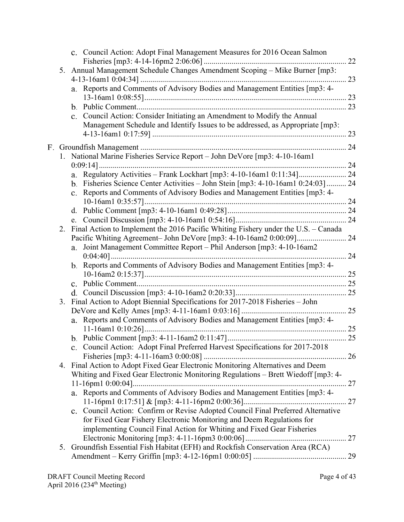|    |    | c. Council Action: Adopt Final Management Measures for 2016 Ocean Salmon                                                                                  | 22 |
|----|----|-----------------------------------------------------------------------------------------------------------------------------------------------------------|----|
|    |    | 5. Annual Management Schedule Changes Amendment Scoping - Mike Burner [mp3:                                                                               |    |
|    |    | a. Reports and Comments of Advisory Bodies and Management Entities [mp3: 4-                                                                               | 23 |
|    |    |                                                                                                                                                           |    |
|    |    |                                                                                                                                                           | 23 |
|    |    | c. Council Action: Consider Initiating an Amendment to Modify the Annual<br>Management Schedule and Identify Issues to be addressed, as Appropriate [mp3: |    |
|    |    |                                                                                                                                                           | 23 |
| F. |    |                                                                                                                                                           | 24 |
|    |    | 1. National Marine Fisheries Service Report - John DeVore [mp3: 4-10-16am1                                                                                |    |
|    |    | a. Regulatory Activities - Frank Lockhart [mp3: 4-10-16am1 0:11:34] 24                                                                                    |    |
|    |    | b. Fisheries Science Center Activities - John Stein [mp3: 4-10-16am1 0:24:03] 24                                                                          |    |
|    |    | Reports and Comments of Advisory Bodies and Management Entities [mp3: 4-<br>$\rm c.$                                                                      |    |
|    |    |                                                                                                                                                           |    |
|    |    |                                                                                                                                                           |    |
|    | 2. | Final Action to Implement the 2016 Pacific Whiting Fishery under the U.S. - Canada                                                                        |    |
|    |    |                                                                                                                                                           | 24 |
|    |    | Joint Management Committee Report - Phil Anderson [mp3: 4-10-16am2<br>а.                                                                                  | 24 |
|    |    | b. Reports and Comments of Advisory Bodies and Management Entities [mp3: 4-                                                                               |    |
|    |    |                                                                                                                                                           |    |
|    |    |                                                                                                                                                           |    |
|    |    |                                                                                                                                                           |    |
|    | 3. | Final Action to Adopt Biennial Specifications for 2017-2018 Fisheries - John                                                                              |    |
|    |    |                                                                                                                                                           | 25 |
|    |    | a. Reports and Comments of Advisory Bodies and Management Entities [mp3: 4-                                                                               |    |
|    |    |                                                                                                                                                           |    |
|    |    | c. Council Action: Adopt Final Preferred Harvest Specifications for 2017-2018                                                                             |    |
|    |    |                                                                                                                                                           |    |
|    | 4. | Final Action to Adopt Fixed Gear Electronic Monitoring Alternatives and Deem                                                                              |    |
|    |    | Whiting and Fixed Gear Electronic Monitoring Regulations – Brett Wiedoff [mp3: 4-                                                                         |    |
|    |    |                                                                                                                                                           |    |
|    |    | a. Reports and Comments of Advisory Bodies and Management Entities [mp3: 4-                                                                               |    |
|    |    |                                                                                                                                                           |    |
|    |    | Council Action: Confirm or Revise Adopted Council Final Preferred Alternative<br>c.                                                                       |    |
|    |    | for Fixed Gear Fishery Electronic Monitoring and Deem Regulations for                                                                                     |    |
|    |    | implementing Council Final Action for Whiting and Fixed Gear Fisheries                                                                                    |    |
|    |    | Groundfish Essential Fish Habitat (EFH) and Rockfish Conservation Area (RCA)                                                                              |    |
|    | 5. |                                                                                                                                                           |    |
|    |    |                                                                                                                                                           |    |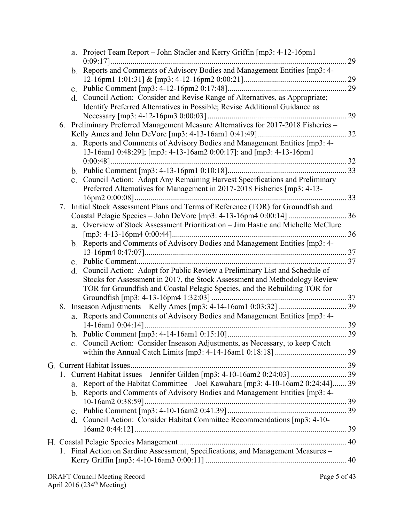|              |    | a. Project Team Report – John Stadler and Kerry Griffin [mp3: 4-12-16pm1]                                                                                | 29 |
|--------------|----|----------------------------------------------------------------------------------------------------------------------------------------------------------|----|
|              |    | b. Reports and Comments of Advisory Bodies and Management Entities [mp3: 4-                                                                              |    |
|              |    |                                                                                                                                                          | 29 |
|              |    |                                                                                                                                                          | 29 |
|              |    | d. Council Action: Consider and Revise Range of Alternatives, as Appropriate;                                                                            |    |
|              |    | Identify Preferred Alternatives in Possible; Revise Additional Guidance as                                                                               |    |
|              |    |                                                                                                                                                          | 29 |
| 6.           |    | Preliminary Preferred Management Measure Alternatives for 2017-2018 Fisheries -                                                                          |    |
|              |    |                                                                                                                                                          |    |
|              |    | a. Reports and Comments of Advisory Bodies and Management Entities [mp3: 4-                                                                              |    |
|              |    | 13-16am1 0:48:29]; [mp3: 4-13-16am2 0:00:17]: and [mp3: 4-13-16pm1                                                                                       |    |
|              |    |                                                                                                                                                          |    |
|              |    | c. Council Action: Adopt Any Remaining Harvest Specifications and Preliminary                                                                            |    |
|              |    | Preferred Alternatives for Management in 2017-2018 Fisheries [mp3: 4-13-                                                                                 |    |
|              |    |                                                                                                                                                          | 33 |
| 7.           |    | Initial Stock Assessment Plans and Terms of Reference (TOR) for Groundfish and                                                                           |    |
|              |    |                                                                                                                                                          |    |
|              |    | a. Overview of Stock Assessment Prioritization - Jim Hastie and Michelle McClure                                                                         |    |
|              |    |                                                                                                                                                          |    |
|              |    | b. Reports and Comments of Advisory Bodies and Management Entities [mp3: 4-                                                                              |    |
|              |    |                                                                                                                                                          |    |
|              |    |                                                                                                                                                          | 37 |
|              |    | d. Council Action: Adopt for Public Review a Preliminary List and Schedule of                                                                            |    |
|              |    | Stocks for Assessment in 2017, the Stock Assessment and Methodology Review<br>TOR for Groundfish and Coastal Pelagic Species, and the Rebuilding TOR for |    |
|              |    |                                                                                                                                                          |    |
| 8.           |    |                                                                                                                                                          |    |
|              |    | a. Reports and Comments of Advisory Bodies and Management Entities [mp3: 4-                                                                              |    |
|              |    |                                                                                                                                                          |    |
|              |    |                                                                                                                                                          |    |
|              |    | c. Council Action: Consider Inseason Adjustments, as Necessary, to keep Catch                                                                            |    |
|              |    |                                                                                                                                                          |    |
|              |    |                                                                                                                                                          |    |
|              |    |                                                                                                                                                          |    |
|              | a. | Report of the Habitat Committee - Joel Kawahara [mp3: 4-10-16am2 0:24:44] 39                                                                             |    |
|              |    | b. Reports and Comments of Advisory Bodies and Management Entities [mp3: 4-                                                                              |    |
|              |    |                                                                                                                                                          |    |
|              |    |                                                                                                                                                          |    |
|              |    | d. Council Action: Consider Habitat Committee Recommendations [mp3: 4-10-                                                                                |    |
|              |    |                                                                                                                                                          |    |
|              |    |                                                                                                                                                          |    |
| $\mathbf{1}$ |    | Final Action on Sardine Assessment, Specifications, and Management Measures -                                                                            |    |
|              |    |                                                                                                                                                          |    |
|              |    |                                                                                                                                                          |    |
|              |    | <b>DRAFT Council Meeting Record</b><br>Page 5 of 43                                                                                                      |    |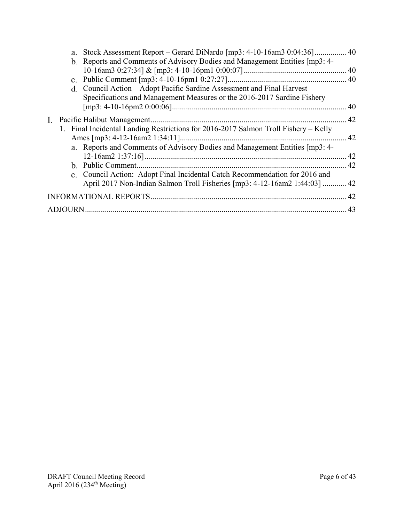| a.                                                                                  |             |
|-------------------------------------------------------------------------------------|-------------|
| b. Reports and Comments of Advisory Bodies and Management Entities [mp3: 4-         |             |
|                                                                                     |             |
|                                                                                     |             |
| d. Council Action - Adopt Pacific Sardine Assessment and Final Harvest              |             |
| Specifications and Management Measures or the 2016-2017 Sardine Fishery             |             |
|                                                                                     |             |
| Pacific Halibut Management<br>I.                                                    | . 42        |
| 1. Final Incidental Landing Restrictions for 2016-2017 Salmon Troll Fishery – Kelly |             |
|                                                                                     | $\ldots$ 42 |
| a. Reports and Comments of Advisory Bodies and Management Entities [mp3: 4-         |             |
|                                                                                     |             |
|                                                                                     | 42          |
| c. Council Action: Adopt Final Incidental Catch Recommendation for 2016 and         |             |
| April 2017 Non-Indian Salmon Troll Fisheries [mp3: 4-12-16am2 1:44:03]  42          |             |
|                                                                                     |             |
|                                                                                     | 43          |
|                                                                                     |             |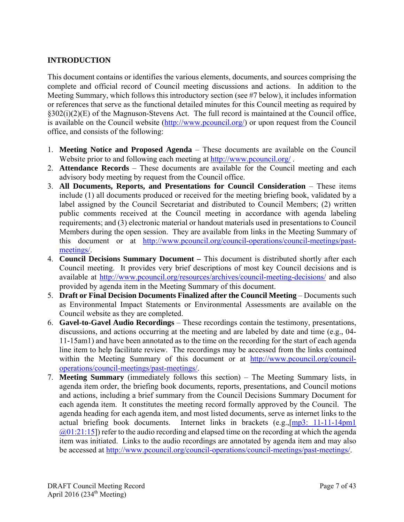# **INTRODUCTION**

This document contains or identifies the various elements, documents, and sources comprising the complete and official record of Council meeting discussions and actions. In addition to the Meeting Summary, which follows this introductory section (see #7 below), it includes information or references that serve as the functional detailed minutes for this Council meeting as required by §302(i)(2)(E) of the Magnuson-Stevens Act. The full record is maintained at the Council office, is available on the Council website (http://www.pcouncil.org/) or upon request from the Council office, and consists of the following:

- 1. **Meeting Notice and Proposed Agenda** These documents are available on the Council Website prior to and following each meeting at http://www.pcouncil.org/.
- 2. **Attendance Records** These documents are available for the Council meeting and each advisory body meeting by request from the Council office.
- 3. **All Documents, Reports, and Presentations for Council Consideration** These items include (1) all documents produced or received for the meeting briefing book, validated by a label assigned by the Council Secretariat and distributed to Council Members; (2) written public comments received at the Council meeting in accordance with agenda labeling requirements; and (3) electronic material or handout materials used in presentations to Council Members during the open session. They are available from links in the Meeting Summary of this document or at http://www.pcouncil.org/council-operations/council-meetings/pastmeetings/.
- 4. **Council Decisions Summary Document** This document is distributed shortly after each Council meeting. It provides very brief descriptions of most key Council decisions and is available at http://www.pcouncil.org/resources/archives/council-meeting-decisions/ and also provided by agenda item in the Meeting Summary of this document.
- 5. **Draft or Final Decision Documents Finalized after the Council Meeting** Documents such as Environmental Impact Statements or Environmental Assessments are available on the Council website as they are completed.
- 6. **Gavel-to-Gavel Audio Recordings** These recordings contain the testimony, presentations, discussions, and actions occurring at the meeting and are labeled by date and time (e.g., 04- 11-15am1) and have been annotated as to the time on the recording for the start of each agenda line item to help facilitate review. The recordings may be accessed from the links contained within the Meeting Summary of this document or at http://www.pcouncil.org/counciloperations/council-meetings/past-meetings/.
- 7. **Meeting Summary** (immediately follows this section) The Meeting Summary lists, in agenda item order, the briefing book documents, reports, presentations, and Council motions and actions, including a brief summary from the Council Decisions Summary Document for each agenda item. It constitutes the meeting record formally approved by the Council. The agenda heading for each agenda item, and most listed documents, serve as internet links to the actual briefing book documents. Internet links in brackets (e.g.,[mp3: 11-11-14pm1  $(a)$  $(0)$  $(2)$  $(1)$  $(5)$ ) refer to the audio recording and elapsed time on the recording at which the agenda item was initiated. Links to the audio recordings are annotated by agenda item and may also be accessed at http://www.pcouncil.org/council-operations/council-meetings/past-meetings/.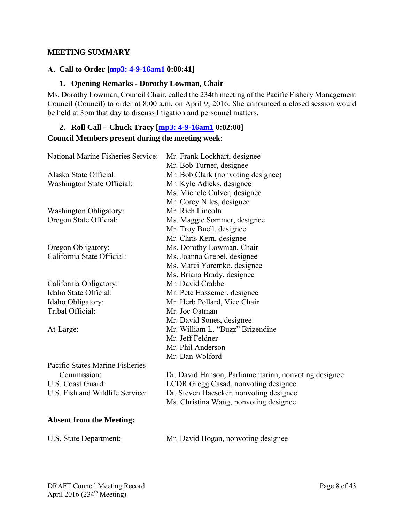### **MEETING SUMMARY**

### **Call to Order [mp3: 4-9-16am1 0:00:41]**

#### **1. Opening Remarks - Dorothy Lowman, Chair**

Ms. Dorothy Lowman, Council Chair, called the 234th meeting of the Pacific Fishery Management Council (Council) to order at 8:00 a.m. on April 9, 2016. She announced a closed session would be held at 3pm that day to discuss litigation and personnel matters.

### **2. Roll Call – Chuck Tracy [mp3: 4-9-16am1 0:02:00]**

#### **Council Members present during the meeting week**:

| Mr. Frank Lockhart, designee                          |
|-------------------------------------------------------|
| Mr. Bob Turner, designee                              |
| Mr. Bob Clark (nonvoting designee)                    |
| Mr. Kyle Adicks, designee                             |
| Ms. Michele Culver, designee                          |
| Mr. Corey Niles, designee                             |
| Mr. Rich Lincoln                                      |
| Ms. Maggie Sommer, designee                           |
| Mr. Troy Buell, designee                              |
| Mr. Chris Kern, designee                              |
| Ms. Dorothy Lowman, Chair                             |
| Ms. Joanna Grebel, designee                           |
| Ms. Marci Yaremko, designee                           |
| Ms. Briana Brady, designee                            |
| Mr. David Crabbe                                      |
| Mr. Pete Hassemer, designee                           |
| Mr. Herb Pollard, Vice Chair                          |
| Mr. Joe Oatman                                        |
| Mr. David Sones, designee                             |
| Mr. William L. "Buzz" Brizendine                      |
| Mr. Jeff Feldner                                      |
| Mr. Phil Anderson                                     |
| Mr. Dan Wolford                                       |
|                                                       |
| Dr. David Hanson, Parliamentarian, nonvoting designee |
| LCDR Gregg Casad, nonvoting designee                  |
| Dr. Steven Haeseker, nonvoting designee               |
| Ms. Christina Wang, nonvoting designee                |
|                                                       |
|                                                       |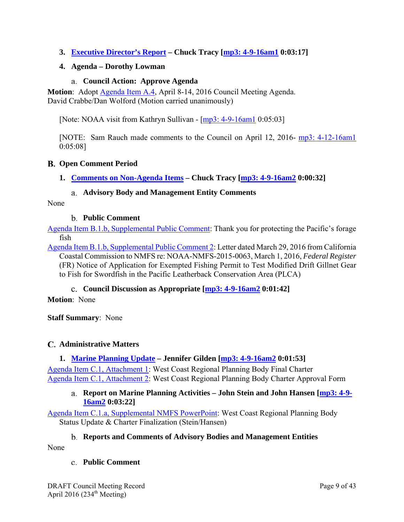# **3. Executive Director's Report – Chuck Tracy [mp3: 4-9-16am1 0:03:17]**

### **4. Agenda – Dorothy Lowman**

### **Council Action: Approve Agenda**

**Motion**: Adopt Agenda Item A.4, April 8-14, 2016 Council Meeting Agenda. David Crabbe/Dan Wolford (Motion carried unanimously)

[Note: NOAA visit from Kathryn Sullivan - [mp3: 4-9-16am1 0:05:03]

[NOTE: Sam Rauch made comments to the Council on April 12, 2016- mp3: 4-12-16am1 0:05:08]

#### **Open Comment Period**

**1. Comments on Non-Agenda Items – Chuck Tracy [mp3: 4-9-16am2 0:00:32]** 

### **Advisory Body and Management Entity Comments**

None

#### **Public Comment**

Agenda Item B.1.b, Supplemental Public Comment: Thank you for protecting the Pacific's forage fish

Agenda Item B.1.b, Supplemental Public Comment 2: Letter dated March 29, 2016 from California Coastal Commission to NMFS re: NOAA-NMFS-2015-0063, March 1, 2016, *Federal Register* (FR) Notice of Application for Exempted Fishing Permit to Test Modified Drift Gillnet Gear to Fish for Swordfish in the Pacific Leatherback Conservation Area (PLCA)

#### **Council Discussion as Appropriate [mp3: 4-9-16am2 0:01:42]**

**Motion**: None

**Staff Summary**: None

#### **Administrative Matters**

#### **1. Marine Planning Update – Jennifer Gilden [mp3: 4-9-16am2 0:01:53]**

Agenda Item C.1, Attachment 1: West Coast Regional Planning Body Final Charter Agenda Item C.1, Attachment 2: West Coast Regional Planning Body Charter Approval Form

#### **Report on Marine Planning Activities – John Stein and John Hansen [mp3: 4-9- 16am2 0:03:22]**

Agenda Item C.1.a, Supplemental NMFS PowerPoint: West Coast Regional Planning Body Status Update & Charter Finalization (Stein/Hansen)

#### **Reports and Comments of Advisory Bodies and Management Entities**

None

#### **Public Comment**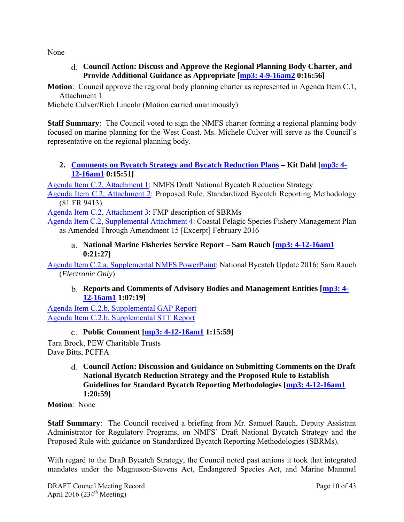None

**Council Action: Discuss and Approve the Regional Planning Body Charter, and Provide Additional Guidance as Appropriate [mp3: 4-9-16am2 0:16:56]** 

**Motion**: Council approve the regional body planning charter as represented in Agenda Item C.1, Attachment 1

Michele Culver/Rich Lincoln (Motion carried unanimously)

**Staff Summary**: The Council voted to sign the NMFS charter forming a regional planning body focused on marine planning for the West Coast. Ms. Michele Culver will serve as the Council's representative on the regional planning body.

# **2. Comments on Bycatch Strategy and Bycatch Reduction Plans – Kit Dahl [mp3: 4- 12-16am1 0:15:51]**

Agenda Item C.2, Attachment 1: NMFS Draft National Bycatch Reduction Strategy

Agenda Item C.2, Attachment 2: Proposed Rule, Standardized Bycatch Reporting Methodology (81 FR 9413)

Agenda Item C.2, Attachment 3: FMP description of SBRMs

Agenda Item C.2, Supplemental Attachment 4: Coastal Pelagic Species Fishery Management Plan as Amended Through Amendment 15 [Excerpt] February 2016

# **National Marine Fisheries Service Report – Sam Rauch [mp3: 4-12-16am1 0:21:27]**

Agenda Item C.2.a, Supplemental NMFS PowerPoint: National Bycatch Update 2016; Sam Rauch (*Electronic Only*)

# **Reports and Comments of Advisory Bodies and Management Entities [mp3: 4- 12-16am1 1:07:19]**

Agenda Item C.2.b, Supplemental GAP Report Agenda Item C.2.b, Supplemental STT Report

# **Public Comment [mp3: 4-12-16am1 1:15:59]**

Tara Brock, PEW Charitable Trusts Dave Bitts, PCFFA

> **Council Action: Discussion and Guidance on Submitting Comments on the Draft National Bycatch Reduction Strategy and the Proposed Rule to Establish Guidelines for Standard Bycatch Reporting Methodologies [mp3: 4-12-16am1 1:20:59]**

**Motion**: None

**Staff Summary**: The Council received a briefing from Mr. Samuel Rauch, Deputy Assistant Administrator for Regulatory Programs, on NMFS' Draft National Bycatch Strategy and the Proposed Rule with guidance on Standardized Bycatch Reporting Methodologies (SBRMs).

With regard to the Draft Bycatch Strategy, the Council noted past actions it took that integrated mandates under the Magnuson-Stevens Act, Endangered Species Act, and Marine Mammal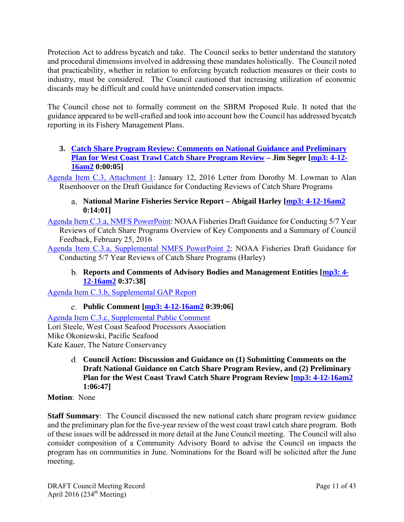Protection Act to address bycatch and take. The Council seeks to better understand the statutory and procedural dimensions involved in addressing these mandates holistically. The Council noted that practicability, whether in relation to enforcing bycatch reduction measures or their costs to industry, must be considered. The Council cautioned that increasing utilization of economic discards may be difficult and could have unintended conservation impacts.

The Council chose not to formally comment on the SBRM Proposed Rule. It noted that the guidance appeared to be well-crafted and took into account how the Council has addressed bycatch reporting in its Fishery Management Plans.

**3. Catch Share Program Review: Comments on National Guidance and Preliminary Plan for West Coast Trawl Catch Share Program Review – Jim Seger [mp3: 4-12- 16am2 0:00:05]** 

Agenda Item C.3, Attachment 1: January 12, 2016 Letter from Dorothy M. Lowman to Alan Risenhoover on the Draft Guidance for Conducting Reviews of Catch Share Programs

# **National Marine Fisheries Service Report – Abigail Harley [mp3: 4-12-16am2 0:14:01]**

Agenda Item C.3.a, NMFS PowerPoint: NOAA Fisheries Draft Guidance for Conducting 5/7 Year Reviews of Catch Share Programs Overview of Key Components and a Summary of Council Feedback, February 25, 2016

Agenda Item C.3.a, Supplemental NMFS PowerPoint 2: NOAA Fisheries Draft Guidance for Conducting 5/7 Year Reviews of Catch Share Programs (Harley)

### **Reports and Comments of Advisory Bodies and Management Entities [mp3: 4- 12-16am2 0:37:38]**

Agenda Item C.3.b, Supplemental GAP Report

# **Public Comment [mp3: 4-12-16am2 0:39:06]**

Agenda Item C.3.c, Supplemental Public Comment Lori Steele, West Coast Seafood Processors Association Mike Okoniewski, Pacific Seafood Kate Kauer, The Nature Conservancy

> **Council Action: Discussion and Guidance on (1) Submitting Comments on the Draft National Guidance on Catch Share Program Review, and (2) Preliminary Plan for the West Coast Trawl Catch Share Program Review [mp3: 4-12-16am2 1:06:47]**

# **Motion**: None

**Staff Summary**: The Council discussed the new national catch share program review guidance and the preliminary plan for the five-year review of the west coast trawl catch share program. Both of these issues will be addressed in more detail at the June Council meeting. The Council will also consider composition of a Community Advisory Board to advise the Council on impacts the program has on communities in June. Nominations for the Board will be solicited after the June meeting.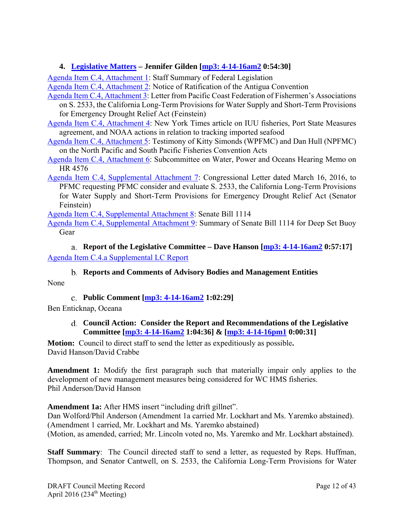# **4. Legislative Matters – Jennifer Gilden [mp3: 4-14-16am2 0:54:30]**

Agenda Item C.4, Attachment 1: Staff Summary of Federal Legislation

Agenda Item C.4, Attachment 2: Notice of Ratification of the Antigua Convention

Agenda Item C.4, Attachment 3: Letter from Pacific Coast Federation of Fishermen's Associations on S. 2533, the California Long-Term Provisions for Water Supply and Short-Term Provisions for Emergency Drought Relief Act (Feinstein)

Agenda Item C.4, Attachment 4: New York Times article on IUU fisheries, Port State Measures agreement, and NOAA actions in relation to tracking imported seafood

Agenda Item C.4, Attachment 5: Testimony of Kitty Simonds (WPFMC) and Dan Hull (NPFMC) on the North Pacific and South Pacific Fisheries Convention Acts

Agenda Item C.4, Attachment 6: Subcommittee on Water, Power and Oceans Hearing Memo on HR 4576

Agenda Item C.4, Supplemental Attachment 7: Congressional Letter dated March 16, 2016, to PFMC requesting PFMC consider and evaluate S. 2533, the California Long-Term Provisions for Water Supply and Short-Term Provisions for Emergency Drought Relief Act (Senator Feinstein)

Agenda Item C.4, Supplemental Attachment 8: Senate Bill 1114

Agenda Item C.4, Supplemental Attachment 9: Summary of Senate Bill 1114 for Deep Set Buoy Gear

**Report of the Legislative Committee – Dave Hanson [mp3: 4-14-16am2 0:57:17]**  Agenda Item C.4.a Supplemental LC Report

**Reports and Comments of Advisory Bodies and Management Entities**  None

**Public Comment [mp3: 4-14-16am2 1:02:29]** 

Ben Enticknap, Oceana

**Council Action: Consider the Report and Recommendations of the Legislative Committee [mp3: 4-14-16am2 1:04:36] & [mp3: 4-14-16pm1 0:00:31]** 

**Motion:** Council to direct staff to send the letter as expeditiously as possible**.**  David Hanson/David Crabbe

**Amendment 1:** Modify the first paragraph such that materially impair only applies to the development of new management measures being considered for WC HMS fisheries. Phil Anderson/David Hanson

**Amendment 1a:** After HMS insert "including drift gillnet".

Dan Wolford/Phil Anderson (Amendment 1a carried Mr. Lockhart and Ms. Yaremko abstained). (Amendment 1 carried, Mr. Lockhart and Ms. Yaremko abstained) (Motion, as amended, carried; Mr. Lincoln voted no, Ms. Yaremko and Mr. Lockhart abstained).

**Staff Summary**: The Council directed staff to send a letter, as requested by Reps. Huffman, Thompson, and Senator Cantwell, on S. 2533, the California Long-Term Provisions for Water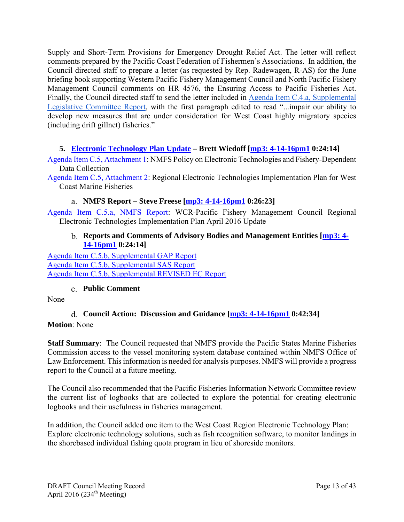Supply and Short-Term Provisions for Emergency Drought Relief Act. The letter will reflect comments prepared by the Pacific Coast Federation of Fishermen's Associations. In addition, the Council directed staff to prepare a letter (as requested by Rep. Radewagen, R-AS) for the June briefing book supporting Western Pacific Fishery Management Council and North Pacific Fishery Management Council comments on HR 4576, the Ensuring Access to Pacific Fisheries Act. Finally, the Council directed staff to send the letter included in Agenda Item C.4.a, Supplemental Legislative Committee Report, with the first paragraph edited to read "...impair our ability to develop new measures that are under consideration for West Coast highly migratory species (including drift gillnet) fisheries."

# **5. Electronic Technology Plan Update – Brett Wiedoff [mp3: 4-14-16pm1 0:24:14]**

Agenda Item C.5, Attachment 1: NMFS Policy on Electronic Technologies and Fishery-Dependent Data Collection

Agenda Item C.5, Attachment 2: Regional Electronic Technologies Implementation Plan for West Coast Marine Fisheries

# **NMFS Report – Steve Freese [mp3: 4-14-16pm1 0:26:23]**

Agenda Item C.5.a, NMFS Report: WCR-Pacific Fishery Management Council Regional Electronic Technologies Implementation Plan April 2016 Update

### **Reports and Comments of Advisory Bodies and Management Entities [mp3: 4- 14-16pm1 0:24:14]**

Agenda Item C.5.b, Supplemental GAP Report Agenda Item C.5.b, Supplemental SAS Report Agenda Item C.5.b, Supplemental REVISED EC Report

# **Public Comment**

None

# **Council Action: Discussion and Guidance [mp3: 4-14-16pm1 0:42:34]**

**Motion**: None

**Staff Summary**: The Council requested that NMFS provide the Pacific States Marine Fisheries Commission access to the vessel monitoring system database contained within NMFS Office of Law Enforcement. This information is needed for analysis purposes. NMFS will provide a progress report to the Council at a future meeting.

The Council also recommended that the Pacific Fisheries Information Network Committee review the current list of logbooks that are collected to explore the potential for creating electronic logbooks and their usefulness in fisheries management.

In addition, the Council added one item to the West Coast Region Electronic Technology Plan: Explore electronic technology solutions, such as fish recognition software, to monitor landings in the shorebased individual fishing quota program in lieu of shoreside monitors.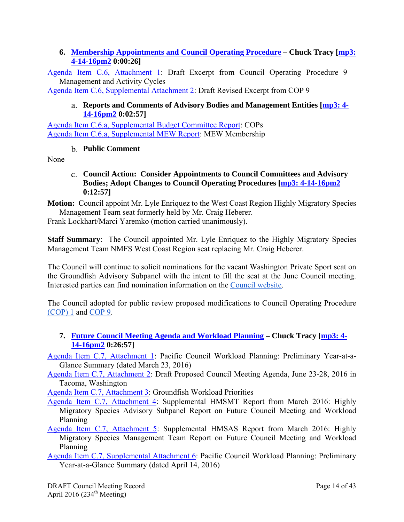# **6. Membership Appointments and Council Operating Procedure – Chuck Tracy [mp3: 4-14-16pm2 0:00:26]**

Agenda Item C.6, Attachment 1: Draft Excerpt from Council Operating Procedure 9 – Management and Activity Cycles

Agenda Item C.6, Supplemental Attachment 2: Draft Revised Excerpt from COP 9

# **Reports and Comments of Advisory Bodies and Management Entities [mp3: 4- 14-16pm2 0:02:57]**

Agenda Item C.6.a, Supplemental Budget Committee Report: COPs Agenda Item C.6.a, Supplemental MEW Report: MEW Membership

# **Public Comment**

None

### **Council Action: Consider Appointments to Council Committees and Advisory Bodies; Adopt Changes to Council Operating Procedures [mp3: 4-14-16pm2 0:12:57]**

**Motion:** Council appoint Mr. Lyle Enriquez to the West Coast Region Highly Migratory Species Management Team seat formerly held by Mr. Craig Heberer.

Frank Lockhart/Marci Yaremko (motion carried unanimously).

**Staff Summary**: The Council appointed Mr. Lyle Enriquez to the Highly Migratory Species Management Team NMFS West Coast Region seat replacing Mr. Craig Heberer.

The Council will continue to solicit nominations for the vacant Washington Private Sport seat on the Groundfish Advisory Subpanel with the intent to fill the seat at the June Council meeting. Interested parties can find nomination information on the Council website.

The Council adopted for public review proposed modifications to Council Operating Procedure (COP) 1 and COP 9.

**7. Future Council Meeting Agenda and Workload Planning – Chuck Tracy [mp3: 4- 14-16pm2 0:26:57]** 

Agenda Item C.7, Attachment 1: Pacific Council Workload Planning: Preliminary Year-at-a-Glance Summary (dated March 23, 2016)

Agenda Item C.7, Attachment 2: Draft Proposed Council Meeting Agenda, June 23-28, 2016 in Tacoma, Washington

Agenda Item C.7, Attachment 3: Groundfish Workload Priorities

Agenda Item C.7, Attachment 4: Supplemental HMSMT Report from March 2016: Highly Migratory Species Advisory Subpanel Report on Future Council Meeting and Workload Planning

Agenda Item C.7, Attachment 5: Supplemental HMSAS Report from March 2016: Highly Migratory Species Management Team Report on Future Council Meeting and Workload Planning

Agenda Item C.7, Supplemental Attachment 6: Pacific Council Workload Planning: Preliminary Year-at-a-Glance Summary (dated April 14, 2016)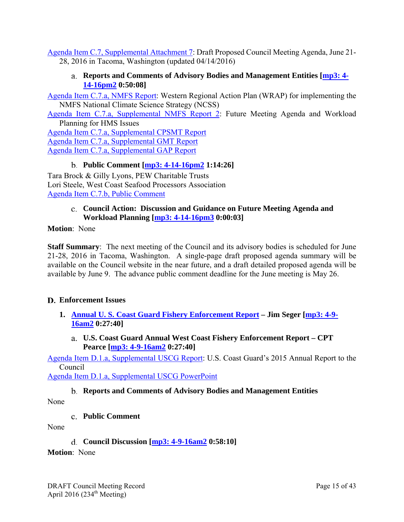Agenda Item C.7, Supplemental Attachment 7: Draft Proposed Council Meeting Agenda, June 21- 28, 2016 in Tacoma, Washington (updated 04/14/2016)

# **Reports and Comments of Advisory Bodies and Management Entities [mp3: 4- 14-16pm2 0:50:08]**

Agenda Item C.7.a, NMFS Report: Western Regional Action Plan (WRAP) for implementing the NMFS National Climate Science Strategy (NCSS)

Agenda Item C.7.a, Supplemental NMFS Report 2: Future Meeting Agenda and Workload Planning for HMS Issues

Agenda Item C.7.a, Supplemental CPSMT Report Agenda Item C.7.a, Supplemental GMT Report Agenda Item C.7.a, Supplemental GAP Report

# **Public Comment [mp3: 4-14-16pm2 1:14:26]**

Tara Brock & Gilly Lyons, PEW Charitable Trusts Lori Steele, West Coast Seafood Processors Association Agenda Item C.7.b, Public Comment

### **Council Action: Discussion and Guidance on Future Meeting Agenda and Workload Planning [mp3: 4-14-16pm3 0:00:03]**

### **Motion**: None

**Staff Summary**: The next meeting of the Council and its advisory bodies is scheduled for June 21-28, 2016 in Tacoma, Washington. A single-page draft proposed agenda summary will be available on the Council website in the near future, and a draft detailed proposed agenda will be available by June 9. The advance public comment deadline for the June meeting is May 26.

# **Enforcement Issues**

- **1. Annual U. S. Coast Guard Fishery Enforcement Report Jim Seger [mp3: 4-9- 16am2 0:27:40]** 
	- **U.S. Coast Guard Annual West Coast Fishery Enforcement Report CPT Pearce [mp3: 4-9-16am2 0:27:40]**

Agenda Item D.1.a, Supplemental USCG Report: U.S. Coast Guard's 2015 Annual Report to the Council

Agenda Item D.1.a, Supplemental USCG PowerPoint

# **Reports and Comments of Advisory Bodies and Management Entities**

None

# **Public Comment**

None

**Council Discussion [mp3: 4-9-16am2 0:58:10]** 

**Motion**: None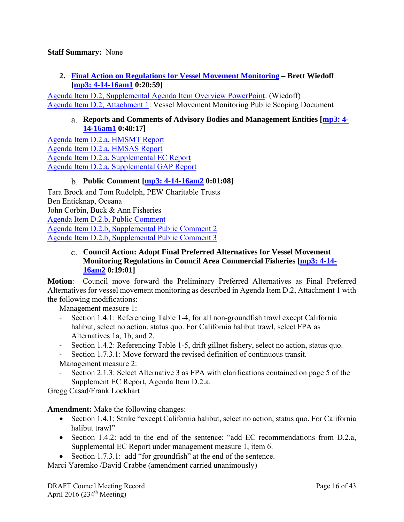### **Staff Summary:** None

**2. Final Action on Regulations for Vessel Movement Monitoring – Brett Wiedoff [mp3: 4-14-16am1 0:20:59]** 

Agenda Item D.2, Supplemental Agenda Item Overview PowerPoint: (Wiedoff) Agenda Item D.2, Attachment 1: Vessel Movement Monitoring Public Scoping Document

#### **Reports and Comments of Advisory Bodies and Management Entities [mp3: 4- 14-16am1 0:48:17]**

Agenda Item D.2.a, HMSMT Report Agenda Item D.2.a, HMSAS Report Agenda Item D.2.a, Supplemental EC Report Agenda Item D.2.a, Supplemental GAP Report

### **Public Comment [mp3: 4-14-16am2 0:01:08]**

Tara Brock and Tom Rudolph, PEW Charitable Trusts Ben Enticknap, Oceana John Corbin, Buck & Ann Fisheries Agenda Item D.2.b, Public Comment Agenda Item D.2.b, Supplemental Public Comment 2 Agenda Item D.2.b, Supplemental Public Comment 3

### **Council Action: Adopt Final Preferred Alternatives for Vessel Movement Monitoring Regulations in Council Area Commercial Fisheries [mp3: 4-14- 16am2 0:19:01]**

**Motion**: Council move forward the Preliminary Preferred Alternatives as Final Preferred Alternatives for vessel movement monitoring as described in Agenda Item D.2, Attachment 1 with the following modifications:

Management measure 1:

- ‐ Section 1.4.1: Referencing Table 1-4, for all non-groundfish trawl except California halibut, select no action, status quo. For California halibut trawl, select FPA as Alternatives 1a, 1b, and 2.
- ‐ Section 1.4.2: Referencing Table 1-5, drift gillnet fishery, select no action, status quo.
- Section 1.7.3.1: Move forward the revised definition of continuous transit. Management measure 2:
- Section 2.1.3: Select Alternative 3 as FPA with clarifications contained on page 5 of the Supplement EC Report, Agenda Item D.2.a.

Gregg Casad/Frank Lockhart

**Amendment:** Make the following changes:

- Section 1.4.1: Strike "except California halibut, select no action, status quo. For California halibut trawl"
- Section 1.4.2: add to the end of the sentence: "add EC recommendations from D.2.a, Supplemental EC Report under management measure 1, item 6.
- Section 1.7.3.1: add "for groundfish" at the end of the sentence.

Marci Yaremko /David Crabbe (amendment carried unanimously)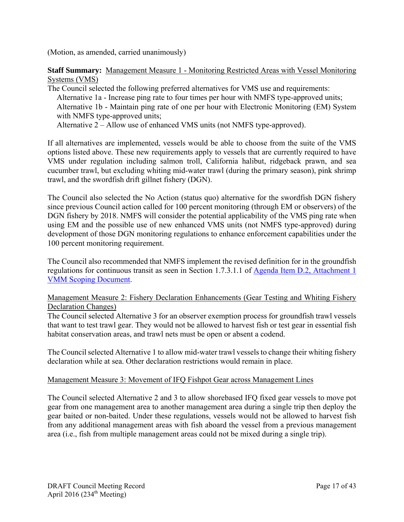(Motion, as amended, carried unanimously)

### **Staff Summary:** Management Measure 1 - Monitoring Restricted Areas with Vessel Monitoring Systems (VMS)

The Council selected the following preferred alternatives for VMS use and requirements:

Alternative 1a - Increase ping rate to four times per hour with NMFS type-approved units;

Alternative 1b - Maintain ping rate of one per hour with Electronic Monitoring (EM) System with NMFS type-approved units;

Alternative 2 – Allow use of enhanced VMS units (not NMFS type-approved).

If all alternatives are implemented, vessels would be able to choose from the suite of the VMS options listed above. These new requirements apply to vessels that are currently required to have VMS under regulation including salmon troll, California halibut, ridgeback prawn, and sea cucumber trawl, but excluding whiting mid-water trawl (during the primary season), pink shrimp trawl, and the swordfish drift gillnet fishery (DGN).

The Council also selected the No Action (status quo) alternative for the swordfish DGN fishery since previous Council action called for 100 percent monitoring (through EM or observers) of the DGN fishery by 2018. NMFS will consider the potential applicability of the VMS ping rate when using EM and the possible use of new enhanced VMS units (not NMFS type-approved) during development of those DGN monitoring regulations to enhance enforcement capabilities under the 100 percent monitoring requirement.

The Council also recommended that NMFS implement the revised definition for in the groundfish regulations for continuous transit as seen in Section 1.7.3.1.1 of Agenda Item D.2, Attachment 1 VMM Scoping Document.

# Management Measure 2: Fishery Declaration Enhancements (Gear Testing and Whiting Fishery Declaration Changes)

The Council selected Alternative 3 for an observer exemption process for groundfish trawl vessels that want to test trawl gear. They would not be allowed to harvest fish or test gear in essential fish habitat conservation areas, and trawl nets must be open or absent a codend.

The Council selected Alternative 1 to allow mid-water trawl vessels to change their whiting fishery declaration while at sea. Other declaration restrictions would remain in place.

# Management Measure 3: Movement of IFQ Fishpot Gear across Management Lines

The Council selected Alternative 2 and 3 to allow shorebased IFQ fixed gear vessels to move pot gear from one management area to another management area during a single trip then deploy the gear baited or non-baited. Under these regulations, vessels would not be allowed to harvest fish from any additional management areas with fish aboard the vessel from a previous management area (i.e., fish from multiple management areas could not be mixed during a single trip).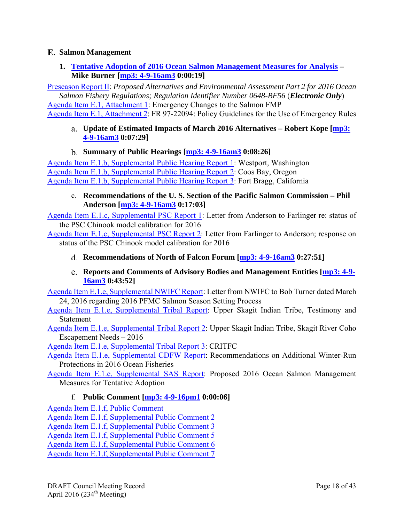# **Salmon Management**

**1. Tentative Adoption of 2016 Ocean Salmon Management Measures for Analysis – Mike Burner [mp3: 4-9-16am3 0:00:19]** 

Preseason Report II: *Proposed Alternatives and Environmental Assessment Part 2 for 2016 Ocean Salmon Fishery Regulations; Regulation Identifier Number 0648-BF56* (*Electronic Only*)

Agenda Item E.1, Attachment 1: Emergency Changes to the Salmon FMP

Agenda Item E.1, Attachment 2: FR 97-22094: Policy Guidelines for the Use of Emergency Rules

# **Update of Estimated Impacts of March 2016 Alternatives – Robert Kope [mp3: 4-9-16am3 0:07:29]**

# **Summary of Public Hearings [mp3: 4-9-16am3 0:08:26]**

Agenda Item E.1.b, Supplemental Public Hearing Report 1: Westport, Washington Agenda Item E.1.b, Supplemental Public Hearing Report 2: Coos Bay, Oregon Agenda Item E.1.b, Supplemental Public Hearing Report 3: Fort Bragg, California

# c. **Recommendations of the U. S. Section of the Pacific Salmon Commission – Phil Anderson [mp3: 4-9-16am3 0:17:03]**

Agenda Item E.1.c, Supplemental PSC Report 1: Letter from Anderson to Farlinger re: status of the PSC Chinook model calibration for 2016

Agenda Item E.1.c, Supplemental PSC Report 2: Letter from Farlinger to Anderson; response on status of the PSC Chinook model calibration for 2016

# **Recommendations of North of Falcon Forum [mp3: 4-9-16am3 0:27:51]**

# **Reports and Comments of Advisory Bodies and Management Entities [mp3: 4-9- 16am3 0:43:52]**

Agenda Item E.1.e, Supplemental NWIFC Report: Letter from NWIFC to Bob Turner dated March 24, 2016 regarding 2016 PFMC Salmon Season Setting Process

Agenda Item E.1.e, Supplemental Tribal Report: Upper Skagit Indian Tribe, Testimony and Statement

Agenda Item E.1.e, Supplemental Tribal Report 2: Upper Skagit Indian Tribe, Skagit River Coho Escapement Needs – 2016

Agenda Item E.1.e, Supplemental Tribal Report 3: CRITFC

Agenda Item E.1.e, Supplemental CDFW Report: Recommendations on Additional Winter-Run Protections in 2016 Ocean Fisheries

Agenda Item E.1.e, Supplemental SAS Report: Proposed 2016 Ocean Salmon Management Measures for Tentative Adoption

# f. **Public Comment [mp3: 4-9-16pm1 0:00:06]**

Agenda Item E.1.f, Public Comment

Agenda Item E.1.f, Supplemental Public Comment 2

Agenda Item E.1.f, Supplemental Public Comment 3

Agenda Item E.1.f, Supplemental Public Comment 5

Agenda Item E.1.f, Supplemental Public Comment 6

Agenda Item E.1.f, Supplemental Public Comment 7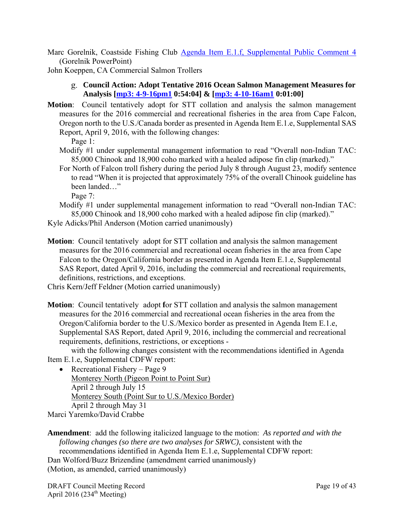Marc Gorelnik, Coastside Fishing Club Agenda Item E.1.f, Supplemental Public Comment 4 (Gorelnik PowerPoint)

John Koeppen, CA Commercial Salmon Trollers

- **Council Action: Adopt Tentative 2016 Ocean Salmon Management Measures for Analysis [mp3: 4-9-16pm1 0:54:04] & [mp3: 4-10-16am1 0:01:00]**
- **Motion**: Council tentatively adopt for STT collation and analysis the salmon management measures for the 2016 commercial and recreational fisheries in the area from Cape Falcon, Oregon north to the U.S./Canada border as presented in Agenda Item E.1.e, Supplemental SAS Report, April 9, 2016, with the following changes:

Page 1:

- Modify #1 under supplemental management information to read "Overall non-Indian TAC: 85,000 Chinook and 18,900 coho marked with a healed adipose fin clip (marked)."
- For North of Falcon troll fishery during the period July 8 through August 23, modify sentence to read "When it is projected that approximately 75% of the overall Chinook guideline has been landed…"

Page 7:

- Modify #1 under supplemental management information to read "Overall non-Indian TAC: 85,000 Chinook and 18,900 coho marked with a healed adipose fin clip (marked)."
- Kyle Adicks/Phil Anderson (Motion carried unanimously)
- **Motion**: Council tentatively adopt for STT collation and analysis the salmon management measures for the 2016 commercial and recreational ocean fisheries in the area from Cape Falcon to the Oregon/California border as presented in Agenda Item E.1.e, Supplemental SAS Report, dated April 9, 2016, including the commercial and recreational requirements, definitions, restrictions, and exceptions.

**Motion**: Council tentatively adopt **f**or STT collation and analysis the salmon management measures for the 2016 commercial and recreational ocean fisheries in the area from the Oregon/California border to the U.S./Mexico border as presented in Agenda Item E.1.e, Supplemental SAS Report, dated April 9, 2016, including the commercial and recreational requirements, definitions, restrictions, or exceptions -

 with the following changes consistent with the recommendations identified in Agenda Item E.1.e, Supplemental CDFW report:

• Recreational Fishery – Page 9 Monterey North (Pigeon Point to Point Sur) April 2 through July 15 Monterey South (Point Sur to U.S./Mexico Border) April 2 through May 31

Marci Yaremko/David Crabbe

**Amendment**: add the following italicized language to the motion: *As reported and with the following changes (so there are two analyses for SRWC)*, consistent with the recommendations identified in Agenda Item E.1.e, Supplemental CDFW report: Dan Wolford/Buzz Brizendine (amendment carried unanimously) (Motion, as amended, carried unanimously)

Chris Kern/Jeff Feldner (Motion carried unanimously)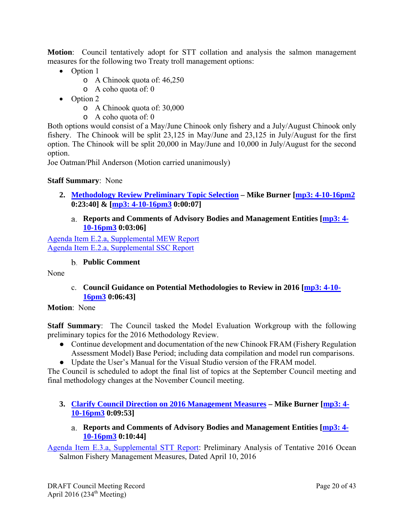**Motion**: Council tentatively adopt for STT collation and analysis the salmon management measures for the following two Treaty troll management options:

- Option 1
	- o A Chinook quota of: 46,250
	- o A coho quota of: 0
- Option 2
	- o A Chinook quota of: 30,000
	- o A coho quota of: 0

Both options would consist of a May/June Chinook only fishery and a July/August Chinook only fishery. The Chinook will be split 23,125 in May/June and 23,125 in July/August for the first option. The Chinook will be split 20,000 in May/June and 10,000 in July/August for the second option.

Joe Oatman/Phil Anderson (Motion carried unanimously)

### **Staff Summary**: None

- **2. Methodology Review Preliminary Topic Selection Mike Burner [mp3: 4-10-16pm2 0:23:40] & [mp3: 4-10-16pm3 0:00:07]** 
	- **Reports and Comments of Advisory Bodies and Management Entities [mp3: 4- 10-16pm3 0:03:06]**

Agenda Item E.2.a, Supplemental MEW Report Agenda Item E.2.a, Supplemental SSC Report

**Public Comment** 

None

c. **Council Guidance on Potential Methodologies to Review in 2016 [mp3: 4-10- 16pm3 0:06:43]** 

#### **Motion**: None

**Staff Summary**: The Council tasked the Model Evaluation Workgroup with the following preliminary topics for the 2016 Methodology Review.

- Continue development and documentation of the new Chinook FRAM (Fishery Regulation Assessment Model) Base Period; including data compilation and model run comparisons.
- Update the User's Manual for the Visual Studio version of the FRAM model.

The Council is scheduled to adopt the final list of topics at the September Council meeting and final methodology changes at the November Council meeting.

- **3. Clarify Council Direction on 2016 Management Measures Mike Burner [mp3: 4- 10-16pm3 0:09:53]** 
	- **Reports and Comments of Advisory Bodies and Management Entities [mp3: 4- 10-16pm3 0:10:44]**

Agenda Item E.3.a, Supplemental STT Report: Preliminary Analysis of Tentative 2016 Ocean Salmon Fishery Management Measures, Dated April 10, 2016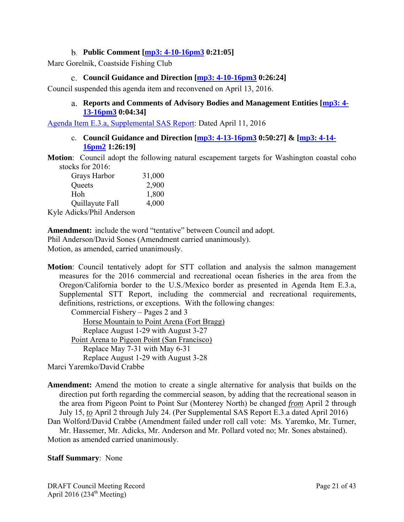### **Public Comment [mp3: 4-10-16pm3 0:21:05]**

Marc Gorelnik, Coastside Fishing Club

### **Council Guidance and Direction [mp3: 4-10-16pm3 0:26:24]**

Council suspended this agenda item and reconvened on April 13, 2016.

### **Reports and Comments of Advisory Bodies and Management Entities [mp3: 4- 13-16pm3 0:04:34]**

Agenda Item E.3.a, Supplemental SAS Report: Dated April 11, 2016

c. **Council Guidance and Direction [mp3: 4-13-16pm3 0:50:27] & [mp3: 4-14- 16pm2 1:26:19]** 

**Motion**: Council adopt the following natural escapement targets for Washington coastal coho stocks for 2016:

| Grays Harbor                    | 31,000 |
|---------------------------------|--------|
| Queets                          | 2,900  |
| Hoh                             | 1,800  |
| Quillayute Fall                 | 4,000  |
| $Z_{V}$ lo Adioka/Dhil Andorson |        |

Kyle Adicks/Phil Anderson

**Amendment:** include the word "tentative" between Council and adopt. Phil Anderson/David Sones (Amendment carried unanimously). Motion, as amended, carried unanimously.

**Motion**: Council tentatively adopt for STT collation and analysis the salmon management measures for the 2016 commercial and recreational ocean fisheries in the area from the Oregon/California border to the U.S./Mexico border as presented in Agenda Item E.3.a, Supplemental STT Report, including the commercial and recreational requirements, definitions, restrictions, or exceptions. With the following changes:

Commercial Fishery – Pages 2 and 3 Horse Mountain to Point Arena (Fort Bragg) Replace August 1-29 with August 3-27 Point Arena to Pigeon Point (San Francisco) Replace May 7-31 with May 6-31 Replace August 1-29 with August 3-28

Marci Yaremko/David Crabbe

**Amendment:** Amend the motion to create a single alternative for analysis that builds on the direction put forth regarding the commercial season, by adding that the recreational season in the area from Pigeon Point to Point Sur (Monterey North) be changed *from* April 2 through July 15, *to* April 2 through July 24. (Per Supplemental SAS Report E.3.a dated April 2016)

Dan Wolford/David Crabbe (Amendment failed under roll call vote: Ms. Yaremko, Mr. Turner, Mr. Hassemer, Mr. Adicks, Mr. Anderson and Mr. Pollard voted no; Mr. Sones abstained). Motion as amended carried unanimously.

#### **Staff Summary**: None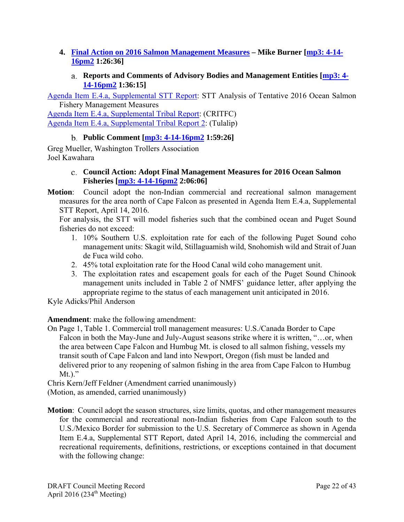# **4. Final Action on 2016 Salmon Management Measures – Mike Burner [mp3: 4-14- 16pm2 1:26:36]**

# **Reports and Comments of Advisory Bodies and Management Entities [mp3: 4- 14-16pm2 1:36:15]**

Agenda Item E.4.a, Supplemental STT Report: STT Analysis of Tentative 2016 Ocean Salmon Fishery Management Measures

Agenda Item E.4.a, Supplemental Tribal Report: (CRITFC) Agenda Item E.4.a, Supplemental Tribal Report 2: (Tulalip)

# **Public Comment [mp3: 4-14-16pm2 1:59:26]**

Greg Mueller, Washington Trollers Association Joel Kawahara

### **Council Action: Adopt Final Management Measures for 2016 Ocean Salmon Fisheries [mp3: 4-14-16pm2 2:06:06]**

**Motion**: Council adopt the non-Indian commercial and recreational salmon management measures for the area north of Cape Falcon as presented in Agenda Item E.4.a, Supplemental STT Report, April 14, 2016.

 For analysis, the STT will model fisheries such that the combined ocean and Puget Sound fisheries do not exceed:

- 1. 10% Southern U.S. exploitation rate for each of the following Puget Sound coho management units: Skagit wild, Stillaguamish wild, Snohomish wild and Strait of Juan de Fuca wild coho.
- 2. 45% total exploitation rate for the Hood Canal wild coho management unit.
- 3. The exploitation rates and escapement goals for each of the Puget Sound Chinook management units included in Table 2 of NMFS' guidance letter, after applying the appropriate regime to the status of each management unit anticipated in 2016.

Kyle Adicks/Phil Anderson

**Amendment**: make the following amendment:

On Page 1, Table 1. Commercial troll management measures: U.S./Canada Border to Cape Falcon in both the May-June and July-August seasons strike where it is written, "…or, when the area between Cape Falcon and Humbug Mt. is closed to all salmon fishing, vessels my transit south of Cape Falcon and land into Newport, Oregon (fish must be landed and delivered prior to any reopening of salmon fishing in the area from Cape Falcon to Humbug  $Mt.$ )."

Chris Kern/Jeff Feldner (Amendment carried unanimously)

(Motion, as amended, carried unanimously)

**Motion**: Council adopt the season structures, size limits, quotas, and other management measures for the commercial and recreational non-Indian fisheries from Cape Falcon south to the U.S./Mexico Border for submission to the U.S. Secretary of Commerce as shown in Agenda Item E.4.a, Supplemental STT Report, dated April 14, 2016, including the commercial and recreational requirements, definitions, restrictions, or exceptions contained in that document with the following change: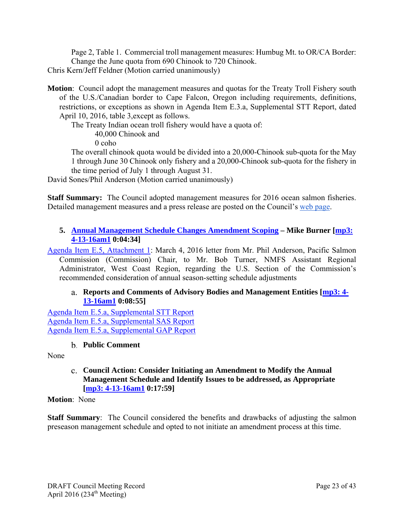Page 2, Table 1. Commercial troll management measures: Humbug Mt. to OR/CA Border: Change the June quota from 690 Chinook to 720 Chinook.

Chris Kern/Jeff Feldner (Motion carried unanimously)

**Motion**: Council adopt the management measures and quotas for the Treaty Troll Fishery south of the U.S./Canadian border to Cape Falcon, Oregon including requirements, definitions, restrictions, or exceptions as shown in Agenda Item E.3.a, Supplemental STT Report, dated April 10, 2016, table 3,except as follows.

The Treaty Indian ocean troll fishery would have a quota of:

40,000 Chinook and

0 coho

The overall chinook quota would be divided into a 20,000-Chinook sub-quota for the May 1 through June 30 Chinook only fishery and a 20,000-Chinook sub-quota for the fishery in the time period of July 1 through August 31.

David Sones/Phil Anderson (Motion carried unanimously)

**Staff Summary:** The Council adopted management measures for 2016 ocean salmon fisheries. Detailed management measures and a press release are posted on the Council's web page.

# **5. Annual Management Schedule Changes Amendment Scoping – Mike Burner [mp3: 4-13-16am1 0:04:34]**

Agenda Item E.5, Attachment 1: March 4, 2016 letter from Mr. Phil Anderson, Pacific Salmon Commission (Commission) Chair, to Mr. Bob Turner, NMFS Assistant Regional Administrator, West Coast Region, regarding the U.S. Section of the Commission's recommended consideration of annual season-setting schedule adjustments

# **Reports and Comments of Advisory Bodies and Management Entities [mp3: 4- 13-16am1 0:08:55]**

Agenda Item E.5.a, Supplemental STT Report Agenda Item E.5.a, Supplemental SAS Report Agenda Item E.5.a, Supplemental GAP Report

# **Public Comment**

None

# **Council Action: Consider Initiating an Amendment to Modify the Annual Management Schedule and Identify Issues to be addressed, as Appropriate [mp3: 4-13-16am1 0:17:59]**

# **Motion**: None

**Staff Summary**: The Council considered the benefits and drawbacks of adjusting the salmon preseason management schedule and opted to not initiate an amendment process at this time.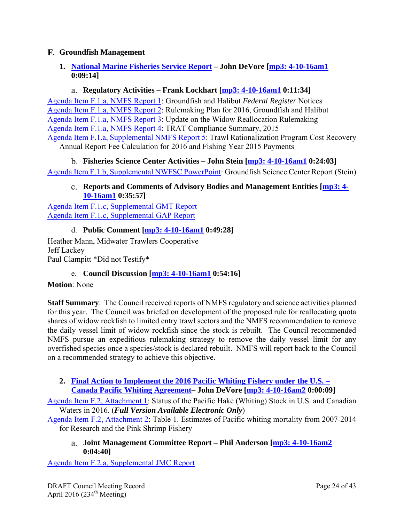# **Groundfish Management**

# **1. National Marine Fisheries Service Report – John DeVore [mp3: 4-10-16am1 0:09:14]**

# **Regulatory Activities – Frank Lockhart [mp3: 4-10-16am1 0:11:34]**

Agenda Item F.1.a, NMFS Report 1: Groundfish and Halibut *Federal Register* Notices Agenda Item F.1.a, NMFS Report 2: Rulemaking Plan for 2016, Groundfish and Halibut Agenda Item F.1.a, NMFS Report 3: Update on the Widow Reallocation Rulemaking Agenda Item F.1.a, NMFS Report 4: TRAT Compliance Summary, 2015

Agenda Item F.1.a, Supplemental NMFS Report 5: Trawl Rationalization Program Cost Recovery Annual Report Fee Calculation for 2016 and Fishing Year 2015 Payments

**Fisheries Science Center Activities – John Stein [mp3: 4-10-16am1 0:24:03]** 

Agenda Item F.1.b, Supplemental NWFSC PowerPoint: Groundfish Science Center Report (Stein)

# **Reports and Comments of Advisory Bodies and Management Entities [mp3: 4- 10-16am1 0:35:57]**

Agenda Item F.1.c, Supplemental GMT Report Agenda Item F.1.c, Supplemental GAP Report

# d. **Public Comment [mp3: 4-10-16am1 0:49:28]**

Heather Mann, Midwater Trawlers Cooperative Jeff Lackey Paul Clampitt \*Did not Testify\*

# e. **Council Discussion [mp3: 4-10-16am1 0:54:16]**

# **Motion**: None

**Staff Summary**: The Council received reports of NMFS regulatory and science activities planned for this year. The Council was briefed on development of the proposed rule for reallocating quota shares of widow rockfish to limited entry trawl sectors and the NMFS recommendation to remove the daily vessel limit of widow rockfish since the stock is rebuilt. The Council recommended NMFS pursue an expeditious rulemaking strategy to remove the daily vessel limit for any overfished species once a species/stock is declared rebuilt. NMFS will report back to the Council on a recommended strategy to achieve this objective.

### **2. Final Action to Implement the 2016 Pacific Whiting Fishery under the U.S. – Canada Pacific Whiting Agreement– John DeVore [mp3: 4-10-16am2 0:00:09]**

Agenda Item F.2, Attachment 1: Status of the Pacific Hake (Whiting) Stock in U.S. and Canadian Waters in 2016. (*Full Version Available Electronic Only*)

Agenda Item F.2, Attachment 2: Table 1. Estimates of Pacific whiting mortality from 2007-2014 for Research and the Pink Shrimp Fishery

### **Joint Management Committee Report – Phil Anderson [mp3: 4-10-16am2 0:04:40]**

Agenda Item F.2.a, Supplemental JMC Report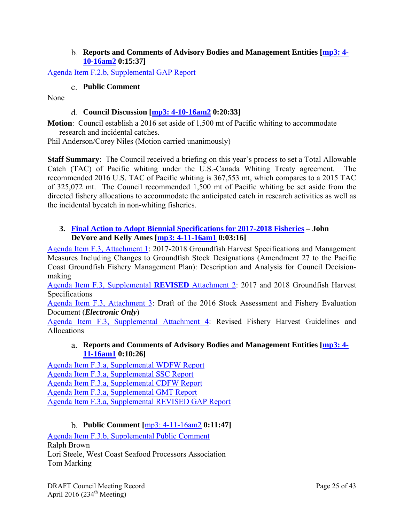### **Reports and Comments of Advisory Bodies and Management Entities [mp3: 4- 10-16am2 0:15:37]**

Agenda Item F.2.b, Supplemental GAP Report

# **Public Comment**

None

### **Council Discussion [mp3: 4-10-16am2 0:20:33]**

**Motion**: Council establish a 2016 set aside of 1,500 mt of Pacific whiting to accommodate research and incidental catches.

Phil Anderson/Corey Niles (Motion carried unanimously)

**Staff Summary**: The Council received a briefing on this year's process to set a Total Allowable Catch (TAC) of Pacific whiting under the U.S.-Canada Whiting Treaty agreement. The recommended 2016 U.S. TAC of Pacific whiting is 367,553 mt, which compares to a 2015 TAC of 325,072 mt. The Council recommended 1,500 mt of Pacific whiting be set aside from the directed fishery allocations to accommodate the anticipated catch in research activities as well as the incidental bycatch in non-whiting fisheries.

### **3. Final Action to Adopt Biennial Specifications for 2017-2018 Fisheries – John DeVore and Kelly Ames [mp3: 4-11-16am1 0:03:16]**

Agenda Item F.3, Attachment 1: 2017-2018 Groundfish Harvest Specifications and Management Measures Including Changes to Groundfish Stock Designations (Amendment 27 to the Pacific Coast Groundfish Fishery Management Plan): Description and Analysis for Council Decisionmaking

Agenda Item F.3, Supplemental **REVISED** Attachment 2: 2017 and 2018 Groundfish Harvest Specifications

Agenda Item F.3, Attachment 3: Draft of the 2016 Stock Assessment and Fishery Evaluation Document (*Electronic Only*)

Agenda Item F.3, Supplemental Attachment 4: Revised Fishery Harvest Guidelines and Allocations

# **Reports and Comments of Advisory Bodies and Management Entities [mp3: 4- 11-16am1 0:10:26]**

Agenda Item F.3.a, Supplemental WDFW Report Agenda Item F.3.a, Supplemental SSC Report Agenda Item F.3.a, Supplemental CDFW Report Agenda Item F.3.a, Supplemental GMT Report Agenda Item F.3.a, Supplemental REVISED GAP Report

# **Public Comment [**mp3: 4-11-16am2 **0:11:47]**

Agenda Item F.3.b, Supplemental Public Comment Ralph Brown Lori Steele, West Coast Seafood Processors Association Tom Marking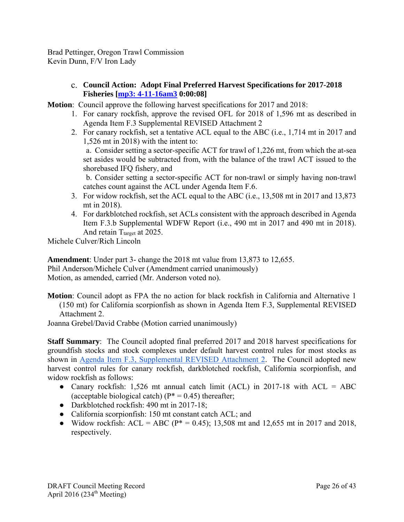Brad Pettinger, Oregon Trawl Commission Kevin Dunn, F/V Iron Lady

> **Council Action: Adopt Final Preferred Harvest Specifications for 2017-2018 Fisheries [mp3: 4-11-16am3 0:00:08]**

**Motion**: Council approve the following harvest specifications for 2017 and 2018:

- 1. For canary rockfish, approve the revised OFL for 2018 of 1,596 mt as described in Agenda Item F.3 Supplemental REVISED Attachment 2
- 2. For canary rockfish, set a tentative ACL equal to the ABC (i.e., 1,714 mt in 2017 and 1,526 mt in 2018) with the intent to:

a. Consider setting a sector-specific ACT for trawl of 1,226 mt, from which the at-sea set asides would be subtracted from, with the balance of the trawl ACT issued to the shorebased IFQ fishery, and

b. Consider setting a sector-specific ACT for non-trawl or simply having non-trawl catches count against the ACL under Agenda Item F.6.

- 3. For widow rockfish, set the ACL equal to the ABC (i.e., 13,508 mt in 2017 and 13,873 mt in 2018).
- 4. For darkblotched rockfish, set ACLs consistent with the approach described in Agenda Item F.3.b Supplemental WDFW Report (i.e., 490 mt in 2017 and 490 mt in 2018). And retain T<sub>target</sub> at 2025.

Michele Culver/Rich Lincoln

**Amendment**: Under part 3- change the 2018 mt value from 13,873 to 12,655. Phil Anderson/Michele Culver (Amendment carried unanimously) Motion, as amended, carried (Mr. Anderson voted no).

**Motion**: Council adopt as FPA the no action for black rockfish in California and Alternative 1 (150 mt) for California scorpionfish as shown in Agenda Item F.3, Supplemental REVISED Attachment 2.

Joanna Grebel/David Crabbe (Motion carried unanimously)

**Staff Summary**: The Council adopted final preferred 2017 and 2018 harvest specifications for groundfish stocks and stock complexes under default harvest control rules for most stocks as shown in Agenda Item F.3, Supplemental REVISED Attachment 2. The Council adopted new harvest control rules for canary rockfish, darkblotched rockfish, California scorpionfish, and widow rockfish as follows:

- Canary rockfish: 1,526 mt annual catch limit (ACL) in 2017-18 with  $ACL = ABC$ (acceptable biological catch) ( $P^* = 0.45$ ) thereafter;
- Darkblotched rockfish: 490 mt in 2017-18;
- California scorpionfish: 150 mt constant catch ACL; and
- Widow rockfish: ACL = ABC ( $P^* = 0.45$ ); 13,508 mt and 12,655 mt in 2017 and 2018, respectively.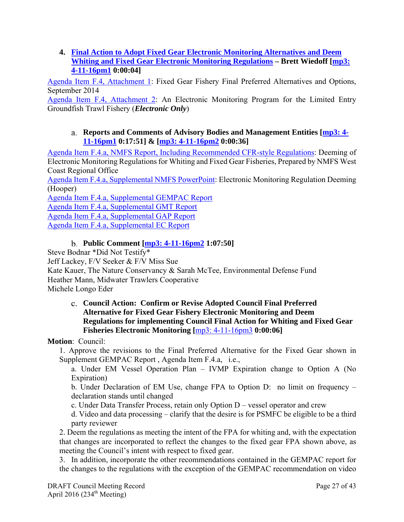**4. Final Action to Adopt Fixed Gear Electronic Monitoring Alternatives and Deem Whiting and Fixed Gear Electronic Monitoring Regulations – Brett Wiedoff [mp3: 4-11-16pm1 0:00:04]** 

Agenda Item F.4, Attachment 1: Fixed Gear Fishery Final Preferred Alternatives and Options, September 2014

Agenda Item F.4, Attachment 2: An Electronic Monitoring Program for the Limited Entry Groundfish Trawl Fishery (*Electronic Only*)

# **Reports and Comments of Advisory Bodies and Management Entities [mp3: 4- 11-16pm1 0:17:51] & [mp3: 4-11-16pm2 0:00:36]**

Agenda Item F.4.a, NMFS Report, Including Recommended CFR-style Regulations: Deeming of Electronic Monitoring Regulations for Whiting and Fixed Gear Fisheries, Prepared by NMFS West Coast Regional Office

Agenda Item F.4.a, Supplemental NMFS PowerPoint: Electronic Monitoring Regulation Deeming (Hooper)

Agenda Item F.4.a, Supplemental GEMPAC Report

Agenda Item F.4.a, Supplemental GMT Report

Agenda Item F.4.a, Supplemental GAP Report

Agenda Item F.4.a, Supplemental EC Report

# **Public Comment [mp3: 4-11-16pm2 1:07:50]**

Steve Bodnar \*Did Not Testify\*

Jeff Lackey, F/V Seeker & F/V Miss Sue

Kate Kauer, The Nature Conservancy & Sarah McTee, Environmental Defense Fund Heather Mann, Midwater Trawlers Cooperative

Michele Longo Eder

**Council Action: Confirm or Revise Adopted Council Final Preferred Alternative for Fixed Gear Fishery Electronic Monitoring and Deem Regulations for implementing Council Final Action for Whiting and Fixed Gear Fisheries Electronic Monitoring [**mp3: 4-11-16pm3 **0:00:06]** 

**Motion**: Council:

1. Approve the revisions to the Final Preferred Alternative for the Fixed Gear shown in Supplement GEMPAC Report , Agenda Item F.4.a, i.e.,

a. Under EM Vessel Operation Plan – IVMP Expiration change to Option A (No Expiration)

b. Under Declaration of EM Use, change FPA to Option D: no limit on frequency – declaration stands until changed

c. Under Data Transfer Process, retain only Option D – vessel operator and crew

d. Video and data processing – clarify that the desire is for PSMFC be eligible to be a third party reviewer

2. Deem the regulations as meeting the intent of the FPA for whiting and, with the expectation that changes are incorporated to reflect the changes to the fixed gear FPA shown above, as meeting the Council's intent with respect to fixed gear.

3. In addition, incorporate the other recommendations contained in the GEMPAC report for the changes to the regulations with the exception of the GEMPAC recommendation on video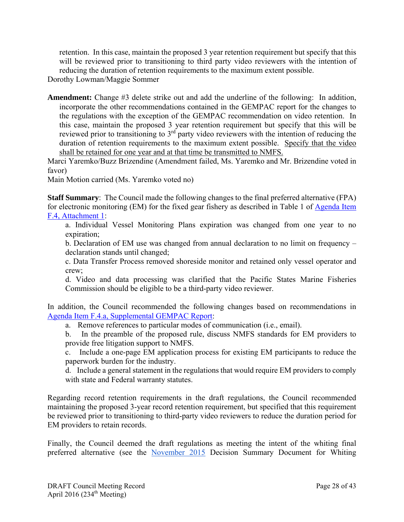retention. In this case, maintain the proposed 3 year retention requirement but specify that this will be reviewed prior to transitioning to third party video reviewers with the intention of reducing the duration of retention requirements to the maximum extent possible.

Dorothy Lowman/Maggie Sommer

**Amendment:** Change #3 delete strike out and add the underline of the following: In addition, incorporate the other recommendations contained in the GEMPAC report for the changes to the regulations with the exception of the GEMPAC recommendation on video retention. In this case, maintain the proposed 3 year retention requirement but specify that this will be reviewed prior to transitioning to 3<sup>rd</sup> party video reviewers with the intention of reducing the duration of retention requirements to the maximum extent possible. Specify that the video shall be retained for one year and at that time be transmitted to NMFS.

Marci Yaremko/Buzz Brizendine (Amendment failed, Ms. Yaremko and Mr. Brizendine voted in favor)

Main Motion carried (Ms. Yaremko voted no)

**Staff Summary**: The Council made the following changes to the final preferred alternative (FPA) for electronic monitoring (EM) for the fixed gear fishery as described in Table 1 of Agenda Item F.4, Attachment 1:

a. Individual Vessel Monitoring Plans expiration was changed from one year to no expiration;

b. Declaration of EM use was changed from annual declaration to no limit on frequency – declaration stands until changed;

c. Data Transfer Process removed shoreside monitor and retained only vessel operator and crew;

d. Video and data processing was clarified that the Pacific States Marine Fisheries Commission should be eligible to be a third-party video reviewer.

In addition, the Council recommended the following changes based on recommendations in Agenda Item F.4.a, Supplemental GEMPAC Report:

a. Remove references to particular modes of communication (i.e., email).

b. In the preamble of the proposed rule, discuss NMFS standards for EM providers to provide free litigation support to NMFS.

c. Include a one-page EM application process for existing EM participants to reduce the paperwork burden for the industry.

d. Include a general statement in the regulations that would require EM providers to comply with state and Federal warranty statutes.

Regarding record retention requirements in the draft regulations, the Council recommended maintaining the proposed 3-year record retention requirement, but specified that this requirement be reviewed prior to transitioning to third-party video reviewers to reduce the duration period for EM providers to retain records.

Finally, the Council deemed the draft regulations as meeting the intent of the whiting final preferred alternative (see the November 2015 Decision Summary Document for Whiting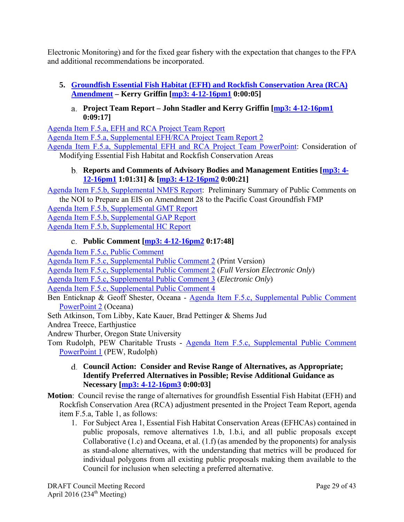Electronic Monitoring) and for the fixed gear fishery with the expectation that changes to the FPA and additional recommendations be incorporated.

# **5. Groundfish Essential Fish Habitat (EFH) and Rockfish Conservation Area (RCA) Amendment – Kerry Griffin [mp3: 4-12-16pm1 0:00:05]**

**Project Team Report – John Stadler and Kerry Griffin [mp3: 4-12-16pm1 0:09:17]** 

Agenda Item F.5.a, EFH and RCA Project Team Report

Agenda Item F.5.a, Supplemental EFH/RCA Project Team Report 2 Agenda Item F.5.a, Supplemental EFH and RCA Project Team PowerPoint: Consideration of

Modifying Essential Fish Habitat and Rockfish Conservation Areas

# **Reports and Comments of Advisory Bodies and Management Entities [mp3: 4- 12-16pm1 1:01:31] & [mp3: 4-12-16pm2 0:00:21]**

Agenda Item F.5.b, Supplemental NMFS Report: Preliminary Summary of Public Comments on the NOI to Prepare an EIS on Amendment 28 to the Pacific Coast Groundfish FMP

Agenda Item F.5.b, Supplemental GMT Report

Agenda Item F.5.b, Supplemental GAP Report

Agenda Item F.5.b, Supplemental HC Report

# **Public Comment [mp3: 4-12-16pm2 0:17:48]**

Agenda Item F.5.c, Public Comment

Agenda Item F.5.c, Supplemental Public Comment 2 (Print Version)

Agenda Item F.5.c, Supplemental Public Comment 2 (*Full Version Electronic Only*)

Agenda Item F.5.c, Supplemental Public Comment 3 (*Electronic Only*)

Agenda Item F.5.c, Supplemental Public Comment 4

Ben Enticknap & Geoff Shester, Oceana - Agenda Item F.5.c, Supplemental Public Comment PowerPoint 2 (Oceana)

Seth Atkinson, Tom Libby, Kate Kauer, Brad Pettinger & Shems Jud

Andrea Treece, Earthjustice

Andrew Thurber, Oregon State University

Tom Rudolph, PEW Charitable Trusts - Agenda Item F.5.c, Supplemental Public Comment PowerPoint 1 (PEW, Rudolph)

**Council Action: Consider and Revise Range of Alternatives, as Appropriate; Identify Preferred Alternatives in Possible; Revise Additional Guidance as Necessary [mp3: 4-12-16pm3 0:00:03]** 

**Motion**: Council revise the range of alternatives for groundfish Essential Fish Habitat (EFH) and Rockfish Conservation Area (RCA) adjustment presented in the Project Team Report, agenda item F.5.a, Table 1, as follows:

1. For Subject Area 1, Essential Fish Habitat Conservation Areas (EFHCAs) contained in public proposals, remove alternatives 1.b, 1.b.i, and all public proposals except Collaborative (1.c) and Oceana, et al. (1.f) (as amended by the proponents) for analysis as stand-alone alternatives, with the understanding that metrics will be produced for individual polygons from all existing public proposals making them available to the Council for inclusion when selecting a preferred alternative.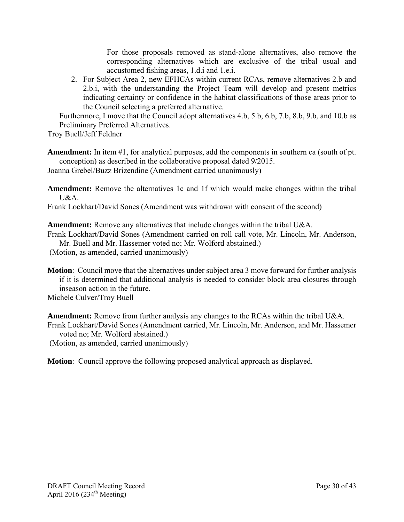For those proposals removed as stand-alone alternatives, also remove the corresponding alternatives which are exclusive of the tribal usual and accustomed fishing areas, 1.d.i and 1.e.i.

2. For Subject Area 2, new EFHCAs within current RCAs, remove alternatives 2.b and 2.b.i, with the understanding the Project Team will develop and present metrics indicating certainty or confidence in the habitat classifications of those areas prior to the Council selecting a preferred alternative.

Furthermore, I move that the Council adopt alternatives 4.b, 5.b, 6.b, 7.b, 8.b, 9.b, and 10.b as Preliminary Preferred Alternatives.

Troy Buell/Jeff Feldner

**Amendment:** In item #1, for analytical purposes, add the components in southern ca (south of pt. conception) as described in the collaborative proposal dated 9/2015.

Joanna Grebel/Buzz Brizendine (Amendment carried unanimously)

**Amendment:** Remove the alternatives 1c and 1f which would make changes within the tribal  $I\overline{A}$ 

Frank Lockhart/David Sones (Amendment was withdrawn with consent of the second)

**Amendment:** Remove any alternatives that include changes within the tribal U&A.

Frank Lockhart/David Sones (Amendment carried on roll call vote, Mr. Lincoln, Mr. Anderson, Mr. Buell and Mr. Hassemer voted no; Mr. Wolford abstained.)

(Motion, as amended, carried unanimously)

**Motion**: Council move that the alternatives under subject area 3 move forward for further analysis if it is determined that additional analysis is needed to consider block area closures through inseason action in the future.

Michele Culver/Troy Buell

**Amendment:** Remove from further analysis any changes to the RCAs within the tribal U&A. Frank Lockhart/David Sones (Amendment carried, Mr. Lincoln, Mr. Anderson, and Mr. Hassemer voted no; Mr. Wolford abstained.)

(Motion, as amended, carried unanimously)

**Motion**: Council approve the following proposed analytical approach as displayed.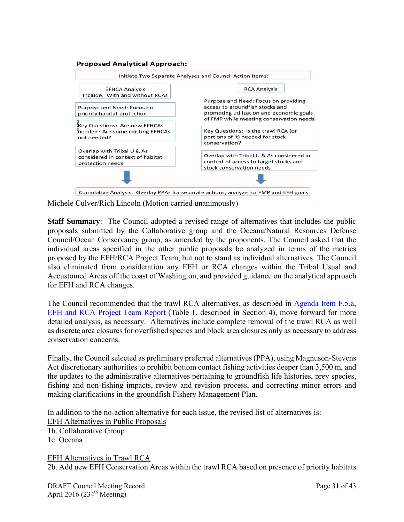#### **Proposed Analytical Approach:**



Michele Culver/Rich Lincoln (Motion carried unanimously)

**Staff Summary**: The Council adopted a revised range of alternatives that includes the public proposals submitted by the Collaborative group and the Oceana/Natural Resources Defense Council/Ocean Conservancy group, as amended by the proponents. The Council asked that the individual areas specified in the other public proposals be analyzed in terms of the metrics proposed by the EFH/RCA Project Team, but not to stand as individual alternatives. The Council also eliminated from consideration any EFH or RCA changes within the Tribal Usual and Accustomed Areas off the coast of Washington, and provided guidance on the analytical approach for EFH and RCA changes.

The Council recommended that the trawl RCA alternatives, as described in Agenda Item F.5.a, EFH and RCA Project Team Report (Table 1, described in Section 4), move forward for more detailed analysis, as necessary. Alternatives include complete removal of the trawl RCA as well as discrete area closures for overfished species and block area closures only as necessary to address conservation concerns.

Finally, the Council selected as preliminary preferred alternatives (PPA), using Magnuson-Stevens Act discretionary authorities to prohibit bottom contact fishing activities deeper than 3,500 m, and the updates to the administrative alternatives pertaining to groundfish life histories, prey species, fishing and non-fishing impacts, review and revision process, and correcting minor errors and making clarifications in the groundfish Fishery Management Plan.

In addition to the no-action alternative for each issue, the revised list of alternatives is: EFH Alternatives in Public Proposals 1b. Collaborative Group 1c. Oceana

EFH Alternatives in Trawl RCA 2b. Add new EFH Conservation Areas within the trawl RCA based on presence of priority habitats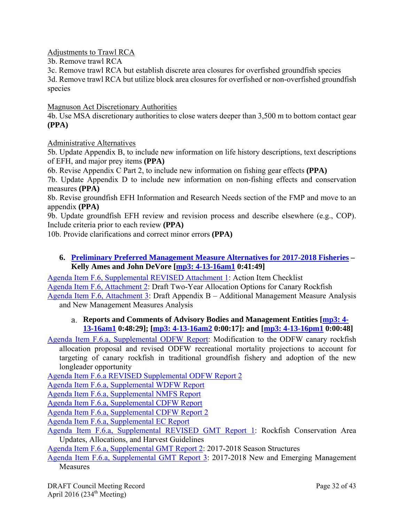Adjustments to Trawl RCA

3b. Remove trawl RCA

3c. Remove trawl RCA but establish discrete area closures for overfished groundfish species 3d. Remove trawl RCA but utilize block area closures for overfished or non-overfished groundfish species

Magnuson Act Discretionary Authorities

4b. Use MSA discretionary authorities to close waters deeper than 3,500 m to bottom contact gear **(PPA)**

Administrative Alternatives

5b. Update Appendix B, to include new information on life history descriptions, text descriptions of EFH, and major prey items **(PPA)**

6b. Revise Appendix C Part 2, to include new information on fishing gear effects **(PPA)**

7b. Update Appendix D to include new information on non-fishing effects and conservation measures **(PPA)**

8b. Revise groundfish EFH Information and Research Needs section of the FMP and move to an appendix **(PPA)**

9b. Update groundfish EFH review and revision process and describe elsewhere (e.g., COP). Include criteria prior to each review **(PPA)**

10b. Provide clarifications and correct minor errors **(PPA)**

**6. Preliminary Preferred Management Measure Alternatives for 2017-2018 Fisheries – Kelly Ames and John DeVore [mp3: 4-13-16am1 0:41:49]** 

Agenda Item F.6, Supplemental REVISED Attachment 1: Action Item Checklist Agenda Item F.6, Attachment 2: Draft Two-Year Allocation Options for Canary Rockfish Agenda Item F.6, Attachment 3: Draft Appendix B – Additional Management Measure Analysis and New Management Measures Analysis

# **Reports and Comments of Advisory Bodies and Management Entities [mp3: 4- 13-16am1 0:48:29]; [mp3: 4-13-16am2 0:00:17]: and [mp3: 4-13-16pm1 0:00:48]**

Agenda Item F.6.a, Supplemental ODFW Report: Modification to the ODFW canary rockfish allocation proposal and revised ODFW recreational mortality projections to account for targeting of canary rockfish in traditional groundfish fishery and adoption of the new longleader opportunity

Agenda Item F.6.a REVISED Supplemental ODFW Report 2

Agenda Item F.6.a, Supplemental WDFW Report

Agenda Item F.6.a, Supplemental NMFS Report

Agenda Item F.6.a, Supplemental CDFW Report

Agenda Item F.6.a, Supplemental CDFW Report 2

Agenda Item F.6.a, Supplemental EC Report

Agenda Item F.6.a, Supplemental REVISED GMT Report 1: Rockfish Conservation Area Updates, Allocations, and Harvest Guidelines

Agenda Item F.6.a, Supplemental GMT Report 2: 2017-2018 Season Structures

Agenda Item F.6.a, Supplemental GMT Report 3: 2017-2018 New and Emerging Management **Measures**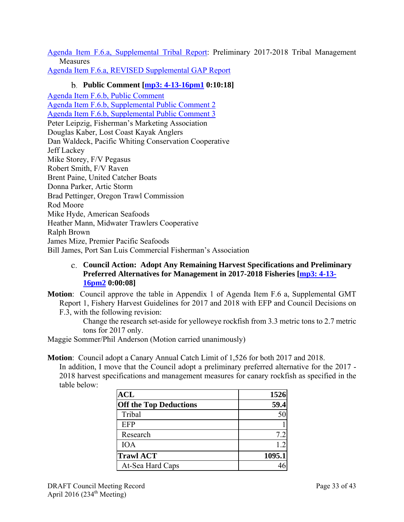Agenda Item F.6.a, Supplemental Tribal Report: Preliminary 2017-2018 Tribal Management **Measures** 

Agenda Item F.6.a, REVISED Supplemental GAP Report

# **Public Comment [mp3: 4-13-16pm1 0:10:18]**

Agenda Item F.6.b, Public Comment Agenda Item F.6.b, Supplemental Public Comment 2 Agenda Item F.6.b, Supplemental Public Comment 3 Peter Leipzig, Fisherman's Marketing Association Douglas Kaber, Lost Coast Kayak Anglers Dan Waldeck, Pacific Whiting Conservation Cooperative Jeff Lackey Mike Storey, F/V Pegasus Robert Smith, F/V Raven Brent Paine, United Catcher Boats Donna Parker, Artic Storm Brad Pettinger, Oregon Trawl Commission Rod Moore Mike Hyde, American Seafoods Heather Mann, Midwater Trawlers Cooperative Ralph Brown James Mize, Premier Pacific Seafoods Bill James, Port San Luis Commercial Fisherman's Association

# **Council Action: Adopt Any Remaining Harvest Specifications and Preliminary Preferred Alternatives for Management in 2017-2018 Fisheries [mp3: 4-13- 16pm2 0:00:08]**

**Motion**: Council approve the table in Appendix 1 of Agenda Item F.6 a, Supplemental GMT Report 1, Fishery Harvest Guidelines for 2017 and 2018 with EFP and Council Decisions on F.3, with the following revision:

> Change the research set-aside for yelloweye rockfish from 3.3 metric tons to 2.7 metric tons for 2017 only.

Maggie Sommer/Phil Anderson (Motion carried unanimously)

**Motion**: Council adopt a Canary Annual Catch Limit of 1,526 for both 2017 and 2018.

In addition, I move that the Council adopt a preliminary preferred alternative for the 2017 - 2018 harvest specifications and management measures for canary rockfish as specified in the table below:

| <b>ACL</b>                    | 1526   |
|-------------------------------|--------|
| <b>Off the Top Deductions</b> | 59.4   |
| Tribal                        |        |
| <b>EFP</b>                    |        |
| Research                      | 7.2    |
| <b>IOA</b>                    | 12     |
| <b>Trawl ACT</b>              | 1095.1 |
| At-Sea Hard Caps              |        |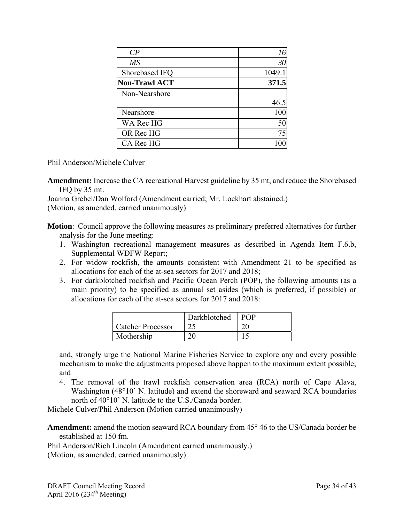| $\mathcal{C}P$       | 16     |
|----------------------|--------|
| MS                   | 30     |
| Shorebased IFQ       | 1049.1 |
| <b>Non-Trawl ACT</b> | 371.5  |
| Non-Nearshore        |        |
|                      | 46.5   |
| Nearshore            | 100    |
| WA Rec HG            | 50     |
| OR Rec HG            | 75     |
| CA Rec HG            |        |

Phil Anderson/Michele Culver

**Amendment:** Increase the CA recreational Harvest guideline by 35 mt, and reduce the Shorebased IFQ by 35 mt.

Joanna Grebel/Dan Wolford (Amendment carried; Mr. Lockhart abstained.)

(Motion, as amended, carried unanimously)

**Motion**: Council approve the following measures as preliminary preferred alternatives for further analysis for the June meeting:

- 1. Washington recreational management measures as described in Agenda Item F.6.b, Supplemental WDFW Report;
- 2. For widow rockfish, the amounts consistent with Amendment 21 to be specified as allocations for each of the at-sea sectors for 2017 and 2018;
- 3. For darkblotched rockfish and Pacific Ocean Perch (POP), the following amounts (as a main priority) to be specified as annual set asides (which is preferred, if possible) or allocations for each of the at-sea sectors for 2017 and 2018:

|                          | Darkblotched | P∩P |
|--------------------------|--------------|-----|
| <b>Catcher Processor</b> |              |     |
| Mothership               | ററ           |     |

and, strongly urge the National Marine Fisheries Service to explore any and every possible mechanism to make the adjustments proposed above happen to the maximum extent possible; and

4. The removal of the trawl rockfish conservation area (RCA) north of Cape Alava, Washington (48°10' N. latitude) and extend the shoreward and seaward RCA boundaries north of 40°10' N. latitude to the U.S./Canada border.

Michele Culver/Phil Anderson (Motion carried unanimously)

**Amendment:** amend the motion seaward RCA boundary from 45° 46 to the US/Canada border be established at 150 fm.

Phil Anderson/Rich Lincoln (Amendment carried unanimously.) (Motion, as amended, carried unanimously)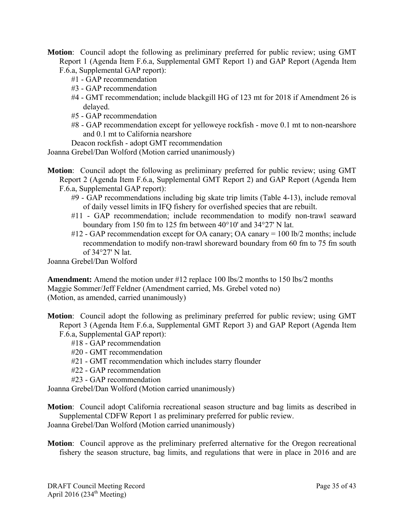- **Motion**: Council adopt the following as preliminary preferred for public review; using GMT Report 1 (Agenda Item F.6.a, Supplemental GMT Report 1) and GAP Report (Agenda Item
	- F.6.a, Supplemental GAP report):
		- #1 GAP recommendation
		- #3 GAP recommendation
		- #4 GMT recommendation; include blackgill HG of 123 mt for 2018 if Amendment 26 is delayed.
		- #5 GAP recommendation
		- #8 GAP recommendation except for yelloweye rockfish move 0.1 mt to non-nearshore and 0.1 mt to California nearshore

Deacon rockfish - adopt GMT recommendation

Joanna Grebel/Dan Wolford (Motion carried unanimously)

**Motion**: Council adopt the following as preliminary preferred for public review; using GMT Report 2 (Agenda Item F.6.a, Supplemental GMT Report 2) and GAP Report (Agenda Item

- F.6.a, Supplemental GAP report):
	- #9 GAP recommendations including big skate trip limits (Table 4-13), include removal of daily vessel limits in IFQ fishery for overfished species that are rebuilt.
	- #11 GAP recommendation; include recommendation to modify non-trawl seaward boundary from 150 fm to 125 fm between 40°10' and 34°27' N lat.
	- #12 GAP recommendation except for OA canary; OA canary = 100 lb/2 months; include recommendation to modify non-trawl shoreward boundary from 60 fm to 75 fm south of 34°27' N lat.

Joanna Grebel/Dan Wolford

**Amendment:** Amend the motion under #12 replace 100 lbs/2 months to 150 lbs/2 months Maggie Sommer/Jeff Feldner (Amendment carried, Ms. Grebel voted no) (Motion, as amended, carried unanimously)

**Motion**: Council adopt the following as preliminary preferred for public review; using GMT Report 3 (Agenda Item F.6.a, Supplemental GMT Report 3) and GAP Report (Agenda Item F.6.a, Supplemental GAP report):

- #18 GAP recommendation
- #20 GMT recommendation
- #21 GMT recommendation which includes starry flounder
- #22 GAP recommendation
- #23 GAP recommendation

Joanna Grebel/Dan Wolford (Motion carried unanimously)

**Motion**: Council adopt California recreational season structure and bag limits as described in Supplemental CDFW Report 1 as preliminary preferred for public review.

Joanna Grebel/Dan Wolford (Motion carried unanimously)

**Motion**: Council approve as the preliminary preferred alternative for the Oregon recreational fishery the season structure, bag limits, and regulations that were in place in 2016 and are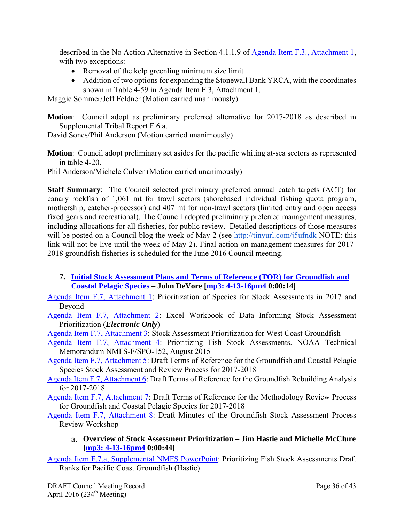described in the No Action Alternative in Section 4.1.1.9 of Agenda Item F.3., Attachment 1, with two exceptions:

- Removal of the kelp greenling minimum size limit
- Addition of two options for expanding the Stonewall Bank YRCA, with the coordinates shown in Table 4-59 in Agenda Item F.3, Attachment 1.

Maggie Sommer/Jeff Feldner (Motion carried unanimously)

**Motion**: Council adopt as preliminary preferred alternative for 2017-2018 as described in Supplemental Tribal Report F.6.a.

David Sones/Phil Anderson (Motion carried unanimously)

**Motion**: Council adopt preliminary set asides for the pacific whiting at-sea sectors as represented in table 4-20.

Phil Anderson/Michele Culver (Motion carried unanimously)

**Staff Summary**: The Council selected preliminary preferred annual catch targets (ACT) for canary rockfish of 1,061 mt for trawl sectors (shorebased individual fishing quota program, mothership, catcher-processor) and 407 mt for non-trawl sectors (limited entry and open access fixed gears and recreational). The Council adopted preliminary preferred management measures, including allocations for all fisheries, for public review. Detailed descriptions of those measures will be posted on a Council blog the week of May 2 (see http://tinyurl.com/j5ufndk NOTE: this link will not be live until the week of May 2). Final action on management measures for 2017- 2018 groundfish fisheries is scheduled for the June 2016 Council meeting.

**7. Initial Stock Assessment Plans and Terms of Reference (TOR) for Groundfish and Coastal Pelagic Species – John DeVore [mp3: 4-13-16pm4 0:00:14]** 

Agenda Item F.7, Attachment 1: Prioritization of Species for Stock Assessments in 2017 and Beyond

Agenda Item F.7, Attachment 2: Excel Workbook of Data Informing Stock Assessment Prioritization (*Electronic Only*)

Agenda Item F.7, Attachment 3: Stock Assessment Prioritization for West Coast Groundfish

- Agenda Item F.7, Attachment 4: Prioritizing Fish Stock Assessments. NOAA Technical Memorandum NMFS-F/SPO-152, August 2015
- Agenda Item F.7, Attachment 5: Draft Terms of Reference for the Groundfish and Coastal Pelagic Species Stock Assessment and Review Process for 2017-2018
- Agenda Item F.7, Attachment 6: Draft Terms of Reference for the Groundfish Rebuilding Analysis for 2017-2018
- Agenda Item F.7, Attachment 7: Draft Terms of Reference for the Methodology Review Process for Groundfish and Coastal Pelagic Species for 2017-2018
- Agenda Item F.7, Attachment 8: Draft Minutes of the Groundfish Stock Assessment Process Review Workshop
	- **Overview of Stock Assessment Prioritization Jim Hastie and Michelle McClure [mp3: 4-13-16pm4 0:00:44]**

Agenda Item F.7.a, Supplemental NMFS PowerPoint: Prioritizing Fish Stock Assessments Draft Ranks for Pacific Coast Groundfish (Hastie)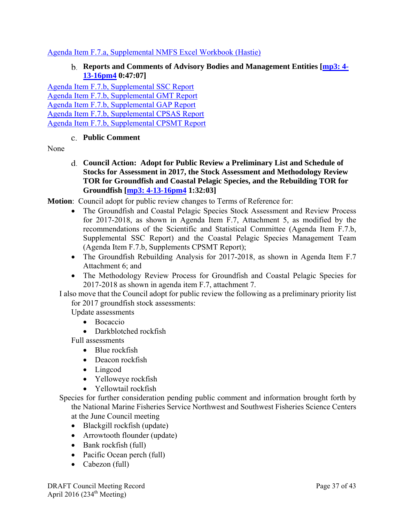Agenda Item F.7.a, Supplemental NMFS Excel Workbook (Hastie)

# **Reports and Comments of Advisory Bodies and Management Entities [mp3: 4- 13-16pm4 0:47:07]**

Agenda Item F.7.b, Supplemental SSC Report Agenda Item F.7.b, Supplemental GMT Report Agenda Item F.7.b, Supplemental GAP Report Agenda Item F.7.b, Supplemental CPSAS Report Agenda Item F.7.b, Supplemental CPSMT Report

### **Public Comment**

None

**Council Action: Adopt for Public Review a Preliminary List and Schedule of Stocks for Assessment in 2017, the Stock Assessment and Methodology Review TOR for Groundfish and Coastal Pelagic Species, and the Rebuilding TOR for Groundfish [mp3: 4-13-16pm4 1:32:03]** 

**Motion**: Council adopt for public review changes to Terms of Reference for:

- The Groundfish and Coastal Pelagic Species Stock Assessment and Review Process for 2017-2018, as shown in Agenda Item F.7, Attachment 5, as modified by the recommendations of the Scientific and Statistical Committee (Agenda Item F.7.b, Supplemental SSC Report) and the Coastal Pelagic Species Management Team (Agenda Item F.7.b, Supplements CPSMT Report);
- The Groundfish Rebuilding Analysis for 2017-2018, as shown in Agenda Item F.7 Attachment 6; and
- The Methodology Review Process for Groundfish and Coastal Pelagic Species for 2017-2018 as shown in agenda item F.7, attachment 7.

I also move that the Council adopt for public review the following as a preliminary priority list for 2017 groundfish stock assessments:

Update assessments

- Bocaccio
- Darkblotched rockfish

Full assessments

- Blue rockfish
- Deacon rockfish
- Lingcod
- Yelloweye rockfish
- Yellowtail rockfish
- Species for further consideration pending public comment and information brought forth by the National Marine Fisheries Service Northwest and Southwest Fisheries Science Centers at the June Council meeting
	- Blackgill rockfish (update)
	- Arrowtooth flounder (update)
	- Bank rockfish (full)
	- Pacific Ocean perch (full)
	- Cabezon (full)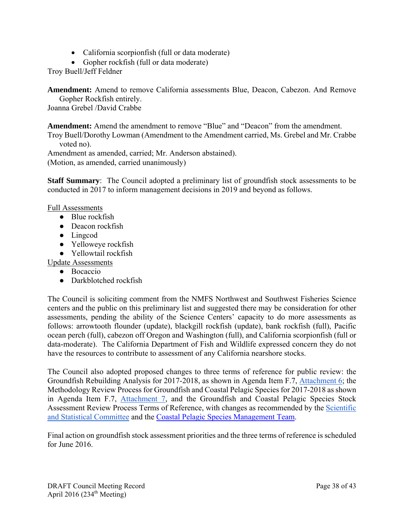- California scorpionfish (full or data moderate)
- Gopher rockfish (full or data moderate)

Troy Buell/Jeff Feldner

**Amendment:** Amend to remove California assessments Blue, Deacon, Cabezon. And Remove Gopher Rockfish entirely.

Joanna Grebel /David Crabbe

**Amendment:** Amend the amendment to remove "Blue" and "Deacon" from the amendment. Troy Buell/Dorothy Lowman (Amendment to the Amendment carried, Ms. Grebel and Mr. Crabbe voted no).

Amendment as amended, carried; Mr. Anderson abstained).

(Motion, as amended, carried unanimously)

**Staff Summary**: The Council adopted a preliminary list of groundfish stock assessments to be conducted in 2017 to inform management decisions in 2019 and beyond as follows.

### Full Assessments

- Blue rockfish
- Deacon rockfish
- Lingcod
- Yelloweye rockfish
- Yellowtail rockfish

Update Assessments

- Bocaccio
- Darkblotched rockfish

The Council is soliciting comment from the NMFS Northwest and Southwest Fisheries Science centers and the public on this preliminary list and suggested there may be consideration for other assessments, pending the ability of the Science Centers' capacity to do more assessments as follows: arrowtooth flounder (update), blackgill rockfish (update), bank rockfish (full), Pacific ocean perch (full), cabezon off Oregon and Washington (full), and California scorpionfish (full or data-moderate). The California Department of Fish and Wildlife expressed concern they do not have the resources to contribute to assessment of any California nearshore stocks.

The Council also adopted proposed changes to three terms of reference for public review: the Groundfish Rebuilding Analysis for 2017-2018, as shown in Agenda Item F.7, Attachment 6; the Methodology Review Process for Groundfish and Coastal Pelagic Species for 2017-2018 as shown in Agenda Item F.7, Attachment 7, and the Groundfish and Coastal Pelagic Species Stock Assessment Review Process Terms of Reference, with changes as recommended by the Scientific and Statistical Committee and the Coastal Pelagic Species Management Team.

Final action on groundfish stock assessment priorities and the three terms of reference is scheduled for June 2016.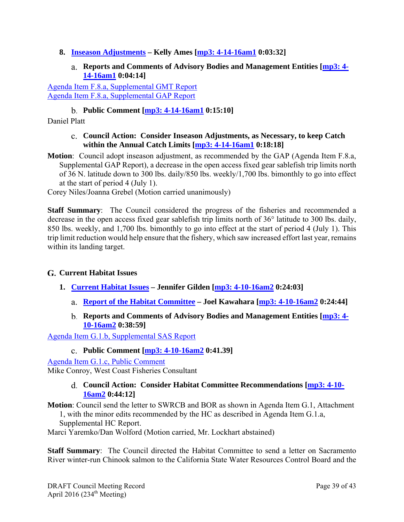# **8. Inseason Adjustments – Kelly Ames [mp3: 4-14-16am1 0:03:32]**

### **Reports and Comments of Advisory Bodies and Management Entities [mp3: 4- 14-16am1 0:04:14]**

Agenda Item F.8.a, Supplemental GMT Report Agenda Item F.8.a, Supplemental GAP Report

# **Public Comment [mp3: 4-14-16am1 0:15:10]**

Daniel Platt

### **Council Action: Consider Inseason Adjustments, as Necessary, to keep Catch within the Annual Catch Limits [mp3: 4-14-16am1 0:18:18]**

**Motion**: Council adopt inseason adjustment, as recommended by the GAP (Agenda Item F.8.a, Supplemental GAP Report), a decrease in the open access fixed gear sablefish trip limits north of 36 N. latitude down to 300 lbs. daily/850 lbs. weekly/1,700 lbs. bimonthly to go into effect at the start of period 4 (July 1).

Corey Niles/Joanna Grebel (Motion carried unanimously)

**Staff Summary**: The Council considered the progress of the fisheries and recommended a decrease in the open access fixed gear sablefish trip limits north of 36° latitude to 300 lbs. daily, 850 lbs. weekly, and 1,700 lbs. bimonthly to go into effect at the start of period 4 (July 1). This trip limit reduction would help ensure that the fishery, which saw increased effort last year, remains within its landing target.

# **Current Habitat Issues**

- **1. Current Habitat Issues Jennifer Gilden [mp3: 4-10-16am2 0:24:03]** 
	- **Report of the Habitat Committee Joel Kawahara [mp3: 4-10-16am2 0:24:44]**
	- **Reports and Comments of Advisory Bodies and Management Entities [mp3: 4- 10-16am2 0:38:59]**

Agenda Item G.1.b, Supplemental SAS Report

#### **Public Comment [mp3: 4-10-16am2 0:41.39]**

Agenda Item G.1.c, Public Comment Mike Conroy, West Coast Fisheries Consultant

### **Council Action: Consider Habitat Committee Recommendations [mp3: 4-10- 16am2 0:44:12]**

**Motion**: Council send the letter to SWRCB and BOR as shown in Agenda Item G.1, Attachment 1, with the minor edits recommended by the HC as described in Agenda Item G.1.a,

Supplemental HC Report.

Marci Yaremko/Dan Wolford (Motion carried, Mr. Lockhart abstained)

**Staff Summary**: The Council directed the Habitat Committee to send a letter on Sacramento River winter-run Chinook salmon to the California State Water Resources Control Board and the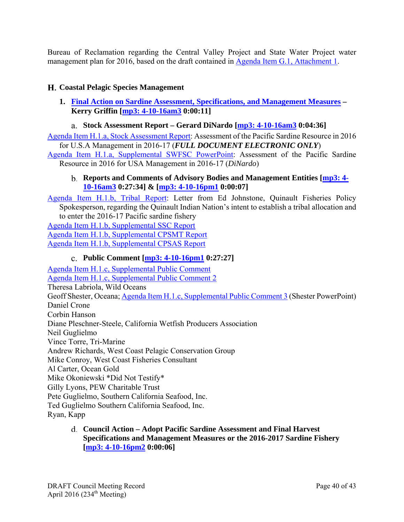Bureau of Reclamation regarding the Central Valley Project and State Water Project water management plan for 2016, based on the draft contained in Agenda Item G.1, Attachment 1.

# **Coastal Pelagic Species Management**

# **1. Final Action on Sardine Assessment, Specifications, and Management Measures – Kerry Griffin [mp3: 4-10-16am3 0:00:11]**

# **Stock Assessment Report – Gerard DiNardo [mp3: 4-10-16am3 0:04:36]**

Agenda Item H.1.a, Stock Assessment Report: Assessment of the Pacific Sardine Resource in 2016 for U.S.A Management in 2016-17 (*FULL DOCUMENT ELECTRONIC ONLY*)

Agenda Item H.1.a, Supplemental SWFSC PowerPoint: Assessment of the Pacific Sardine Resource in 2016 for USA Management in 2016-17 (*DiNardo*)

# **Reports and Comments of Advisory Bodies and Management Entities [mp3: 4- 10-16am3 0:27:34] & [mp3: 4-10-16pm1 0:00:07]**

Agenda Item H.1.b, Tribal Report: Letter from Ed Johnstone, Quinault Fisheries Policy Spokesperson, regarding the Quinault Indian Nation's intent to establish a tribal allocation and to enter the 2016-17 Pacific sardine fishery Agenda Item H.1.b, Supplemental SSC Report

Agenda Item H.1.b, Supplemental CPSMT Report

Agenda Item H.1.b, Supplemental CPSAS Report

# **Public Comment [mp3: 4-10-16pm1 0:27:27]**

Agenda Item H.1.c, Supplemental Public Comment Agenda Item H.1.c, Supplemental Public Comment 2 Theresa Labriola, Wild Oceans Geoff Shester, Oceana; Agenda Item H.1.c, Supplemental Public Comment 3 (Shester PowerPoint) Daniel Crone Corbin Hanson Diane Pleschner-Steele, California Wetfish Producers Association Neil Guglielmo Vince Torre, Tri-Marine Andrew Richards, West Coast Pelagic Conservation Group Mike Conroy, West Coast Fisheries Consultant Al Carter, Ocean Gold Mike Okoniewski \*Did Not Testify\* Gilly Lyons, PEW Charitable Trust Pete Guglielmo, Southern California Seafood, Inc. Ted Guglielmo Southern California Seafood, Inc. Ryan, Kapp

### **Council Action – Adopt Pacific Sardine Assessment and Final Harvest Specifications and Management Measures or the 2016-2017 Sardine Fishery [mp3: 4-10-16pm2 0:00:06]**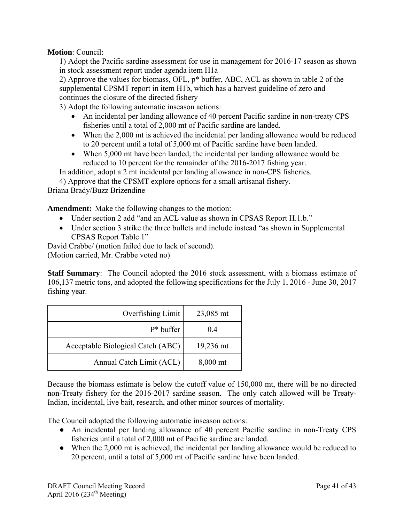### **Motion**: Council:

1) Adopt the Pacific sardine assessment for use in management for 2016-17 season as shown in stock assessment report under agenda item H1a

2) Approve the values for biomass, OFL, p\* buffer, ABC, ACL as shown in table 2 of the supplemental CPSMT report in item H1b, which has a harvest guideline of zero and continues the closure of the directed fishery

3) Adopt the following automatic inseason actions:

- An incidental per landing allowance of 40 percent Pacific sardine in non-treaty CPS fisheries until a total of 2,000 mt of Pacific sardine are landed.
- When the 2,000 mt is achieved the incidental per landing allowance would be reduced to 20 percent until a total of 5,000 mt of Pacific sardine have been landed.
- When 5,000 mt have been landed, the incidental per landing allowance would be reduced to 10 percent for the remainder of the 2016-2017 fishing year.

In addition, adopt a 2 mt incidental per landing allowance in non-CPS fisheries.

4) Approve that the CPSMT explore options for a small artisanal fishery.

Briana Brady/Buzz Brizendine

**Amendment:** Make the following changes to the motion:

- Under section 2 add "and an ACL value as shown in CPSAS Report H.1.b."
- Under section 3 strike the three bullets and include instead "as shown in Supplemental CPSAS Report Table 1"

David Crabbe/ (motion failed due to lack of second).

(Motion carried, Mr. Crabbe voted no)

**Staff Summary**: The Council adopted the 2016 stock assessment, with a biomass estimate of 106,137 metric tons, and adopted the following specifications for the July 1, 2016 - June 30, 2017 fishing year.

| Overfishing Limit                 | 23,085 mt |
|-----------------------------------|-----------|
| $P^*$ buffer                      | 0.4       |
| Acceptable Biological Catch (ABC) | 19,236 mt |
| Annual Catch Limit (ACL)          | 8,000 mt  |

Because the biomass estimate is below the cutoff value of 150,000 mt, there will be no directed non-Treaty fishery for the 2016-2017 sardine season. The only catch allowed will be Treaty-Indian, incidental, live bait, research, and other minor sources of mortality.

The Council adopted the following automatic inseason actions:

- An incidental per landing allowance of 40 percent Pacific sardine in non-Treaty CPS fisheries until a total of 2,000 mt of Pacific sardine are landed.
- When the 2,000 mt is achieved, the incidental per landing allowance would be reduced to 20 percent, until a total of 5,000 mt of Pacific sardine have been landed.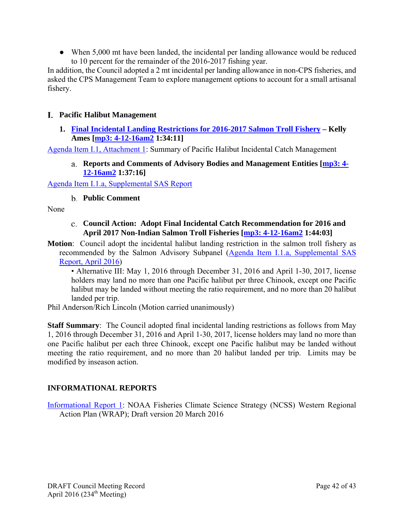• When 5,000 mt have been landed, the incidental per landing allowance would be reduced to 10 percent for the remainder of the 2016-2017 fishing year.

In addition, the Council adopted a 2 mt incidental per landing allowance in non-CPS fisheries, and asked the CPS Management Team to explore management options to account for a small artisanal fishery.

# **Pacific Halibut Management**

**1. Final Incidental Landing Restrictions for 2016-2017 Salmon Troll Fishery – Kelly Ames [mp3: 4-12-16am2 1:34:11]** 

Agenda Item I.1, Attachment 1: Summary of Pacific Halibut Incidental Catch Management

**Reports and Comments of Advisory Bodies and Management Entities [mp3: 4- 12-16am2 1:37:16]** 

Agenda Item I.1.a, Supplemental SAS Report

### **Public Comment**

None

- **Council Action: Adopt Final Incidental Catch Recommendation for 2016 and April 2017 Non-Indian Salmon Troll Fisheries [mp3: 4-12-16am2 1:44:03]**
- **Motion**: Council adopt the incidental halibut landing restriction in the salmon troll fishery as recommended by the Salmon Advisory Subpanel (Agenda Item I.1.a, Supplemental SAS Report, April 2016)

• Alternative III: May 1, 2016 through December 31, 2016 and April 1-30, 2017, license holders may land no more than one Pacific halibut per three Chinook, except one Pacific halibut may be landed without meeting the ratio requirement, and no more than 20 halibut landed per trip.

Phil Anderson/Rich Lincoln (Motion carried unanimously)

**Staff Summary**: The Council adopted final incidental landing restrictions as follows from May 1, 2016 through December 31, 2016 and April 1-30, 2017, license holders may land no more than one Pacific halibut per each three Chinook, except one Pacific halibut may be landed without meeting the ratio requirement, and no more than 20 halibut landed per trip. Limits may be modified by inseason action.

# **INFORMATIONAL REPORTS**

Informational Report 1: NOAA Fisheries Climate Science Strategy (NCSS) Western Regional Action Plan (WRAP); Draft version 20 March 2016